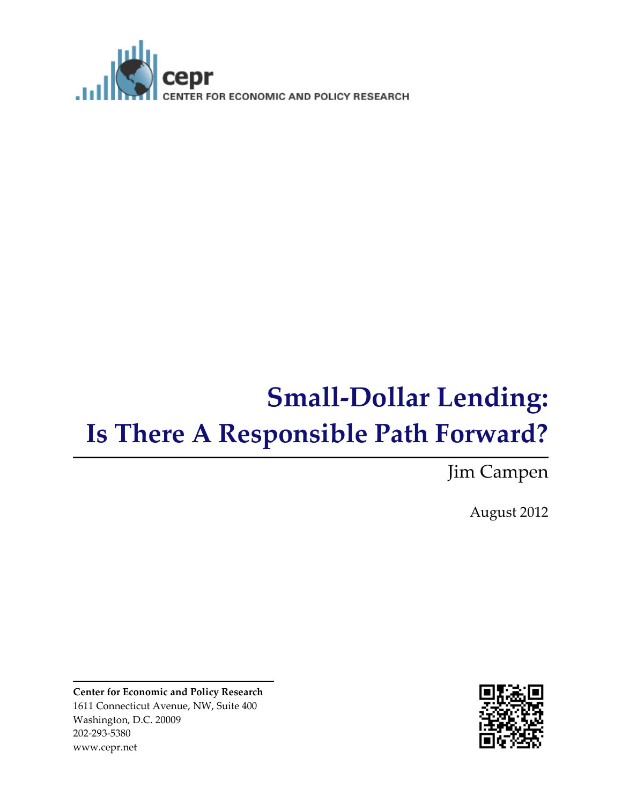

# **Small-Dollar Lending: Is There A Responsible Path Forward?**

Jim Campen

August 2012

**Center for Economic and Policy Research** 1611 Connecticut Avenue, NW, Suite 400 Washington, D.C. 20009 202-293-5380 www.cepr.net

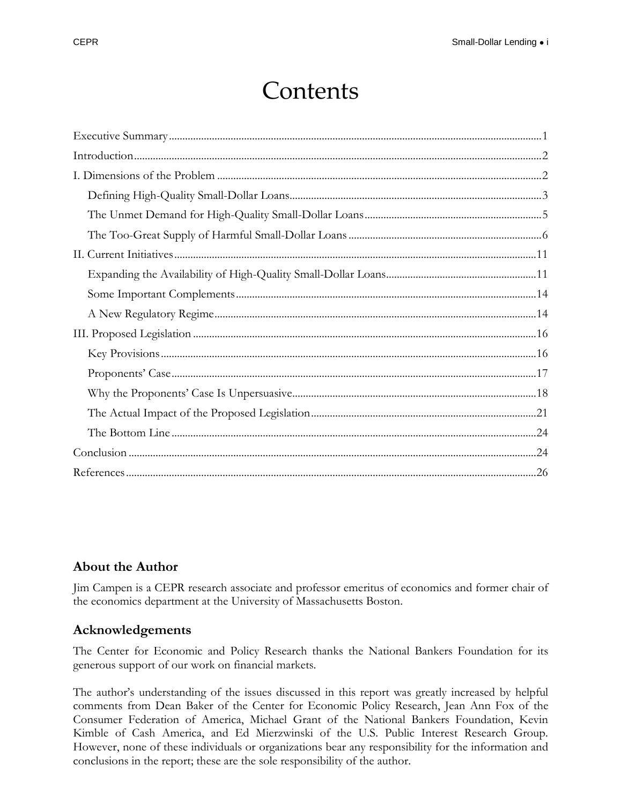## Contents

#### **About the Author**

Jim Campen is a CEPR research associate and professor emeritus of economics and former chair of the economics department at the University of Massachusetts Boston.

#### **Acknowledgements**

The Center for Economic and Policy Research thanks the National Bankers Foundation for its generous support of our work on financial markets.

The author's understanding of the issues discussed in this report was greatly increased by helpful comments from Dean Baker of the Center for Economic Policy Research, Jean Ann Fox of the Consumer Federation of America, Michael Grant of the National Bankers Foundation, Kevin Kimble of Cash America, and Ed Mierzwinski of the U.S. Public Interest Research Group. However, none of these individuals or organizations bear any responsibility for the information and conclusions in the report; these are the sole responsibility of the author.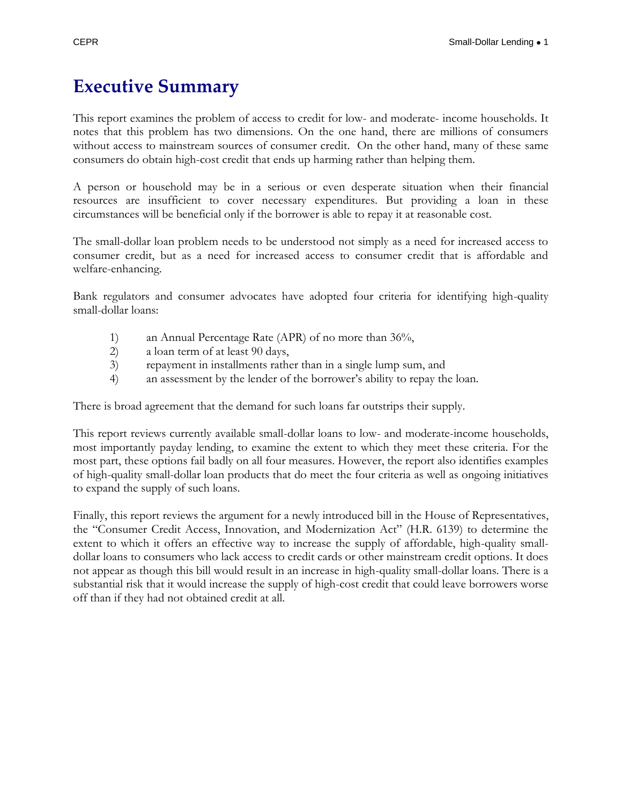### <span id="page-2-0"></span>**Executive Summary**

This report examines the problem of access to credit for low- and moderate- income households. It notes that this problem has two dimensions. On the one hand, there are millions of consumers without access to mainstream sources of consumer credit. On the other hand, many of these same consumers do obtain high-cost credit that ends up harming rather than helping them.

A person or household may be in a serious or even desperate situation when their financial resources are insufficient to cover necessary expenditures. But providing a loan in these circumstances will be beneficial only if the borrower is able to repay it at reasonable cost.

The small-dollar loan problem needs to be understood not simply as a need for increased access to consumer credit, but as a need for increased access to consumer credit that is affordable and welfare-enhancing.

Bank regulators and consumer advocates have adopted four criteria for identifying high-quality small-dollar loans:

- 1) an Annual Percentage Rate (APR) of no more than 36%,
- 2) a loan term of at least 90 days,
- 3) repayment in installments rather than in a single lump sum, and
- 4) an assessment by the lender of the borrower's ability to repay the loan.

There is broad agreement that the demand for such loans far outstrips their supply.

This report reviews currently available small-dollar loans to low- and moderate-income households, most importantly payday lending, to examine the extent to which they meet these criteria. For the most part, these options fail badly on all four measures. However, the report also identifies examples of high-quality small-dollar loan products that do meet the four criteria as well as ongoing initiatives to expand the supply of such loans.

Finally, this report reviews the argument for a newly introduced bill in the House of Representatives, the "Consumer Credit Access, Innovation, and Modernization Act" (H.R. 6139) to determine the extent to which it offers an effective way to increase the supply of affordable, high-quality smalldollar loans to consumers who lack access to credit cards or other mainstream credit options. It does not appear as though this bill would result in an increase in high-quality small-dollar loans. There is a substantial risk that it would increase the supply of high-cost credit that could leave borrowers worse off than if they had not obtained credit at all.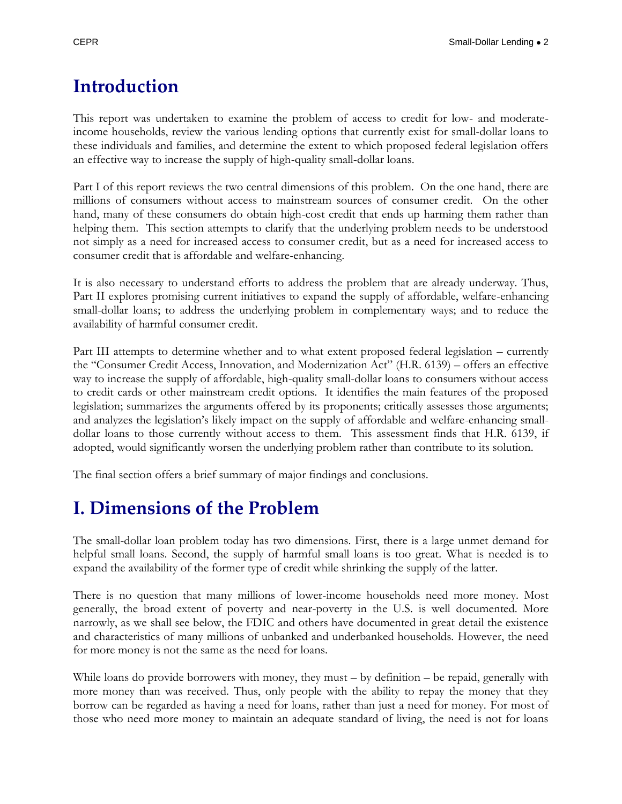### <span id="page-3-0"></span>**Introduction**

This report was undertaken to examine the problem of access to credit for low- and moderateincome households, review the various lending options that currently exist for small-dollar loans to these individuals and families, and determine the extent to which proposed federal legislation offers an effective way to increase the supply of high-quality small-dollar loans.

Part I of this report reviews the two central dimensions of this problem. On the one hand, there are millions of consumers without access to mainstream sources of consumer credit. On the other hand, many of these consumers do obtain high-cost credit that ends up harming them rather than helping them. This section attempts to clarify that the underlying problem needs to be understood not simply as a need for increased access to consumer credit, but as a need for increased access to consumer credit that is affordable and welfare-enhancing.

It is also necessary to understand efforts to address the problem that are already underway. Thus, Part II explores promising current initiatives to expand the supply of affordable, welfare-enhancing small-dollar loans; to address the underlying problem in complementary ways; and to reduce the availability of harmful consumer credit.

Part III attempts to determine whether and to what extent proposed federal legislation – currently the "Consumer Credit Access, Innovation, and Modernization Act" (H.R. 6139) – offers an effective way to increase the supply of affordable, high-quality small-dollar loans to consumers without access to credit cards or other mainstream credit options. It identifies the main features of the proposed legislation; summarizes the arguments offered by its proponents; critically assesses those arguments; and analyzes the legislation's likely impact on the supply of affordable and welfare-enhancing smalldollar loans to those currently without access to them. This assessment finds that H.R. 6139, if adopted, would significantly worsen the underlying problem rather than contribute to its solution.

The final section offers a brief summary of major findings and conclusions.

### <span id="page-3-1"></span>**I. Dimensions of the Problem**

The small-dollar loan problem today has two dimensions. First, there is a large unmet demand for helpful small loans. Second, the supply of harmful small loans is too great. What is needed is to expand the availability of the former type of credit while shrinking the supply of the latter.

There is no question that many millions of lower-income households need more money. Most generally, the broad extent of poverty and near-poverty in the U.S. is well documented. More narrowly, as we shall see below, the FDIC and others have documented in great detail the existence and characteristics of many millions of unbanked and underbanked households. However, the need for more money is not the same as the need for loans.

While loans do provide borrowers with money, they must – by definition – be repaid, generally with more money than was received. Thus, only people with the ability to repay the money that they borrow can be regarded as having a need for loans, rather than just a need for money. For most of those who need more money to maintain an adequate standard of living, the need is not for loans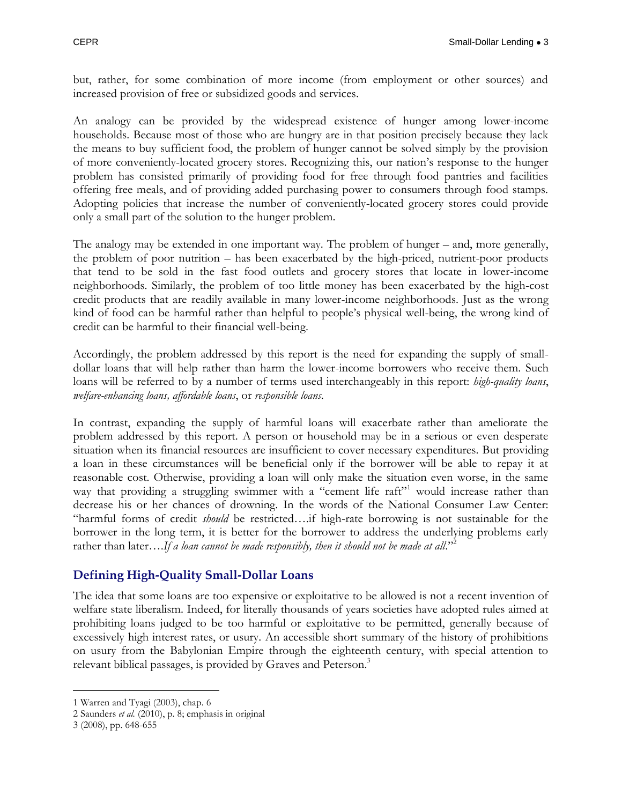but, rather, for some combination of more income (from employment or other sources) and increased provision of free or subsidized goods and services.

An analogy can be provided by the widespread existence of hunger among lower-income households. Because most of those who are hungry are in that position precisely because they lack the means to buy sufficient food, the problem of hunger cannot be solved simply by the provision of more conveniently-located grocery stores. Recognizing this, our nation's response to the hunger problem has consisted primarily of providing food for free through food pantries and facilities offering free meals, and of providing added purchasing power to consumers through food stamps. Adopting policies that increase the number of conveniently-located grocery stores could provide only a small part of the solution to the hunger problem.

The analogy may be extended in one important way. The problem of hunger – and, more generally, the problem of poor nutrition – has been exacerbated by the high-priced, nutrient-poor products that tend to be sold in the fast food outlets and grocery stores that locate in lower-income neighborhoods. Similarly, the problem of too little money has been exacerbated by the high-cost credit products that are readily available in many lower-income neighborhoods. Just as the wrong kind of food can be harmful rather than helpful to people's physical well-being, the wrong kind of credit can be harmful to their financial well-being.

Accordingly, the problem addressed by this report is the need for expanding the supply of smalldollar loans that will help rather than harm the lower-income borrowers who receive them. Such loans will be referred to by a number of terms used interchangeably in this report: *high-quality loans*, *welfare-enhancing loans, affordable loans*, or *responsible loans*.

In contrast, expanding the supply of harmful loans will exacerbate rather than ameliorate the problem addressed by this report. A person or household may be in a serious or even desperate situation when its financial resources are insufficient to cover necessary expenditures. But providing a loan in these circumstances will be beneficial only if the borrower will be able to repay it at reasonable cost. Otherwise, providing a loan will only make the situation even worse, in the same way that providing a struggling swimmer with a "cement life raft"<sup>1</sup> would increase rather than decrease his or her chances of drowning. In the words of the National Consumer Law Center: "harmful forms of credit *should* be restricted….if high-rate borrowing is not sustainable for the borrower in the long term, it is better for the borrower to address the underlying problems early rather than later....If a loan cannot be made responsibly, then it should not be made at all."<sup>2</sup>

#### <span id="page-4-0"></span>**Defining High-Quality Small-Dollar Loans**

The idea that some loans are too expensive or exploitative to be allowed is not a recent invention of welfare state liberalism. Indeed, for literally thousands of years societies have adopted rules aimed at prohibiting loans judged to be too harmful or exploitative to be permitted, generally because of excessively high interest rates, or usury. An accessible short summary of the history of prohibitions on usury from the Babylonian Empire through the eighteenth century, with special attention to relevant biblical passages, is provided by Graves and Peterson.<sup>3</sup>

<sup>1</sup> Warren and Tyagi (2003), chap. 6

<sup>2</sup> Saunders *et al.* (2010), p. 8; emphasis in original

<sup>3</sup> (2008), pp. 648-655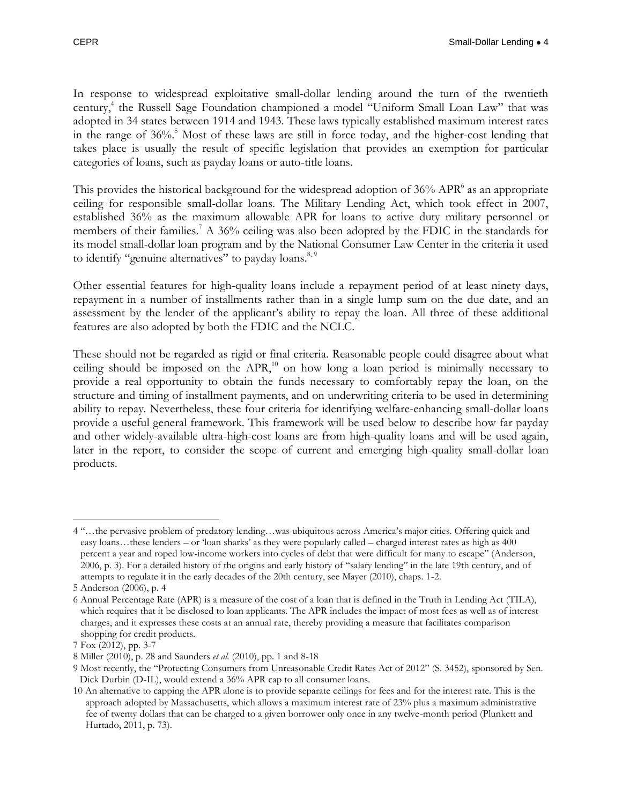In response to widespread exploitative small-dollar lending around the turn of the twentieth century,<sup>4</sup> the Russell Sage Foundation championed a model "Uniform Small Loan Law" that was adopted in 34 states between 1914 and 1943. These laws typically established maximum interest rates in the range of 36%. <sup>5</sup> Most of these laws are still in force today, and the higher-cost lending that takes place is usually the result of specific legislation that provides an exemption for particular categories of loans, such as payday loans or auto-title loans.

This provides the historical background for the widespread adoption of  $36\%$  APR $^6$  as an appropriate ceiling for responsible small-dollar loans. The Military Lending Act, which took effect in 2007, established 36% as the maximum allowable APR for loans to active duty military personnel or members of their families.<sup>7</sup> A 36% ceiling was also been adopted by the FDIC in the standards for its model small-dollar loan program and by the National Consumer Law Center in the criteria it used to identify "genuine alternatives" to payday loans.<sup>8, 9</sup>

Other essential features for high-quality loans include a repayment period of at least ninety days, repayment in a number of installments rather than in a single lump sum on the due date, and an assessment by the lender of the applicant's ability to repay the loan. All three of these additional features are also adopted by both the FDIC and the NCLC.

These should not be regarded as rigid or final criteria. Reasonable people could disagree about what ceiling should be imposed on the  $APR<sub>10</sub><sup>10</sup>$  on how long a loan period is minimally necessary to provide a real opportunity to obtain the funds necessary to comfortably repay the loan, on the structure and timing of installment payments, and on underwriting criteria to be used in determining ability to repay. Nevertheless, these four criteria for identifying welfare-enhancing small-dollar loans provide a useful general framework. This framework will be used below to describe how far payday and other widely-available ultra-high-cost loans are from high-quality loans and will be used again, later in the report, to consider the scope of current and emerging high-quality small-dollar loan products.

<sup>4</sup> "…the pervasive problem of predatory lending…was ubiquitous across America's major cities. Offering quick and easy loans…these lenders – or 'loan sharks' as they were popularly called – charged interest rates as high as 400 percent a year and roped low-income workers into cycles of debt that were difficult for many to escape" (Anderson, 2006, p. 3). For a detailed history of the origins and early history of "salary lending" in the late 19th century, and of attempts to regulate it in the early decades of the 20th century, see Mayer (2010), chaps. 1-2.

<sup>5</sup> Anderson (2006), p. 4

<sup>6</sup> Annual Percentage Rate (APR) is a measure of the cost of a loan that is defined in the Truth in Lending Act (TILA), which requires that it be disclosed to loan applicants. The APR includes the impact of most fees as well as of interest charges, and it expresses these costs at an annual rate, thereby providing a measure that facilitates comparison shopping for credit products.

<sup>7</sup> Fox (2012), pp. 3-7

<sup>8</sup> Miller (2010), p. 28 and Saunders *et al.* (2010), pp. 1 and 8-18

<sup>9</sup> Most recently, the "Protecting Consumers from Unreasonable Credit Rates Act of 2012" (S. 3452), sponsored by Sen. Dick Durbin (D-IL), would extend a 36% APR cap to all consumer loans.

<sup>10</sup> An alternative to capping the APR alone is to provide separate ceilings for fees and for the interest rate. This is the approach adopted by Massachusetts, which allows a maximum interest rate of 23% plus a maximum administrative fee of twenty dollars that can be charged to a given borrower only once in any twelve-month period (Plunkett and Hurtado, 2011, p. 73).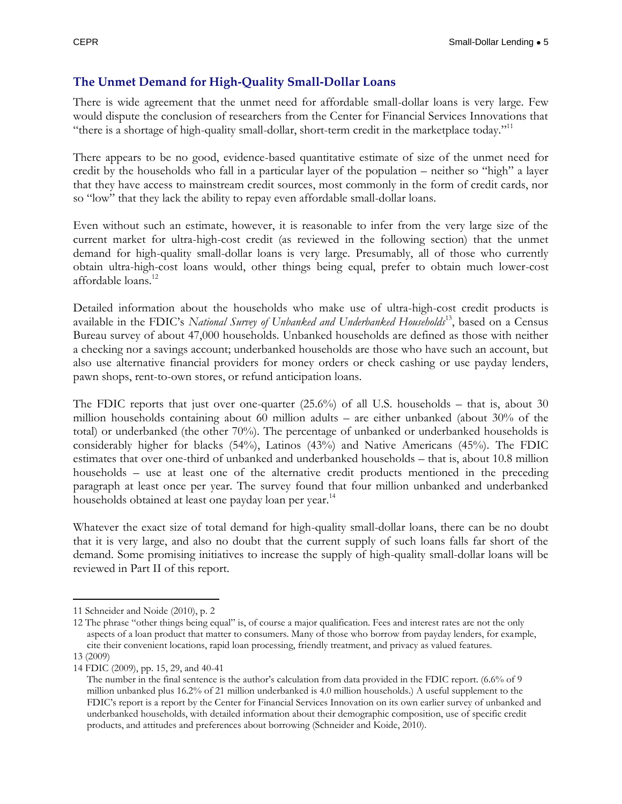#### <span id="page-6-0"></span>**The Unmet Demand for High-Quality Small-Dollar Loans**

There is wide agreement that the unmet need for affordable small-dollar loans is very large. Few would dispute the conclusion of researchers from the Center for Financial Services Innovations that "there is a shortage of high-quality small-dollar, short-term credit in the marketplace today."<sup>11</sup>

There appears to be no good, evidence-based quantitative estimate of size of the unmet need for credit by the households who fall in a particular layer of the population – neither so "high" a layer that they have access to mainstream credit sources, most commonly in the form of credit cards, nor so "low" that they lack the ability to repay even affordable small-dollar loans.

Even without such an estimate, however, it is reasonable to infer from the very large size of the current market for ultra-high-cost credit (as reviewed in the following section) that the unmet demand for high-quality small-dollar loans is very large. Presumably, all of those who currently obtain ultra-high-cost loans would, other things being equal, prefer to obtain much lower-cost affordable loans.<sup>12</sup>

Detailed information about the households who make use of ultra-high-cost credit products is available in the FDIC's National Survey of Unbanked and Underbanked Households<sup>13</sup>, based on a Census Bureau survey of about 47,000 households. Unbanked households are defined as those with neither a checking nor a savings account; underbanked households are those who have such an account, but also use alternative financial providers for money orders or check cashing or use payday lenders, pawn shops, rent-to-own stores, or refund anticipation loans.

The FDIC reports that just over one-quarter (25.6%) of all U.S. households – that is, about 30 million households containing about 60 million adults – are either unbanked (about 30% of the total) or underbanked (the other 70%). The percentage of unbanked or underbanked households is considerably higher for blacks (54%), Latinos (43%) and Native Americans (45%). The FDIC estimates that over one-third of unbanked and underbanked households – that is, about 10.8 million households – use at least one of the alternative credit products mentioned in the preceding paragraph at least once per year. The survey found that four million unbanked and underbanked households obtained at least one payday loan per year.<sup>14</sup>

Whatever the exact size of total demand for high-quality small-dollar loans, there can be no doubt that it is very large, and also no doubt that the current supply of such loans falls far short of the demand. Some promising initiatives to increase the supply of high-quality small-dollar loans will be reviewed in Part II of this report.

<sup>11</sup> Schneider and Noide (2010), p. 2

<sup>12</sup> The phrase "other things being equal" is, of course a major qualification. Fees and interest rates are not the only aspects of a loan product that matter to consumers. Many of those who borrow from payday lenders, for example, cite their convenient locations, rapid loan processing, friendly treatment, and privacy as valued features.

<sup>13</sup> (2009)

<sup>14</sup> FDIC (2009), pp. 15, 29, and 40-41 The number in the final sentence is the author's calculation from data provided in the FDIC report. (6.6% of 9 million unbanked plus 16.2% of 21 million underbanked is 4.0 million households.) A useful supplement to the FDIC's report is a report by the Center for Financial Services Innovation on its own earlier survey of unbanked and underbanked households, with detailed information about their demographic composition, use of specific credit products, and attitudes and preferences about borrowing (Schneider and Koide, 2010).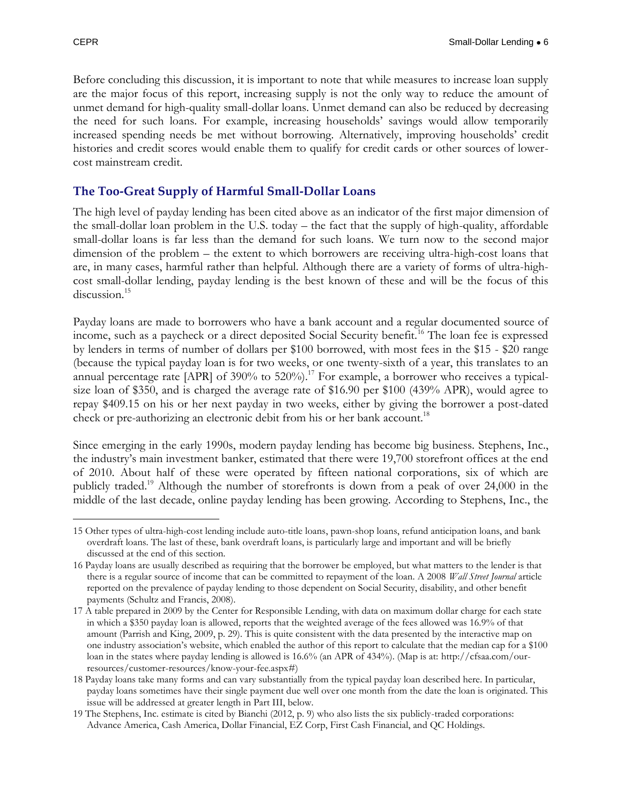$\overline{a}$ 

Before concluding this discussion, it is important to note that while measures to increase loan supply are the major focus of this report, increasing supply is not the only way to reduce the amount of unmet demand for high-quality small-dollar loans. Unmet demand can also be reduced by decreasing the need for such loans. For example, increasing households' savings would allow temporarily increased spending needs be met without borrowing. Alternatively, improving households' credit histories and credit scores would enable them to qualify for credit cards or other sources of lowercost mainstream credit.

#### <span id="page-7-0"></span>**The Too-Great Supply of Harmful Small-Dollar Loans**

The high level of payday lending has been cited above as an indicator of the first major dimension of the small-dollar loan problem in the U.S. today – the fact that the supply of high-quality, affordable small-dollar loans is far less than the demand for such loans. We turn now to the second major dimension of the problem – the extent to which borrowers are receiving ultra-high-cost loans that are, in many cases, harmful rather than helpful. Although there are a variety of forms of ultra-highcost small-dollar lending, payday lending is the best known of these and will be the focus of this discussion.<sup>15</sup>

Payday loans are made to borrowers who have a bank account and a regular documented source of income, such as a paycheck or a direct deposited Social Security benefit.<sup>16</sup> The loan fee is expressed by lenders in terms of number of dollars per \$100 borrowed, with most fees in the \$15 - \$20 range (because the typical payday loan is for two weeks, or one twenty-sixth of a year, this translates to an annual percentage rate [APR] of 390% to 520%).<sup>17</sup> For example, a borrower who receives a typicalsize loan of \$350, and is charged the average rate of \$16.90 per \$100 (439% APR), would agree to repay \$409.15 on his or her next payday in two weeks, either by giving the borrower a post-dated check or pre-authorizing an electronic debit from his or her bank account.<sup>18</sup>

Since emerging in the early 1990s, modern payday lending has become big business. Stephens, Inc., the industry's main investment banker, estimated that there were 19,700 storefront offices at the end of 2010. About half of these were operated by fifteen national corporations, six of which are publicly traded.<sup>19</sup> Although the number of storefronts is down from a peak of over 24,000 in the middle of the last decade, online payday lending has been growing. According to Stephens, Inc., the

<sup>15</sup> Other types of ultra-high-cost lending include auto-title loans, pawn-shop loans, refund anticipation loans, and bank overdraft loans. The last of these, bank overdraft loans, is particularly large and important and will be briefly discussed at the end of this section.

<sup>16</sup> Payday loans are usually described as requiring that the borrower be employed, but what matters to the lender is that there is a regular source of income that can be committed to repayment of the loan. A 2008 *Wall Street Journal* article reported on the prevalence of payday lending to those dependent on Social Security, disability, and other benefit payments (Schultz and Francis, 2008).

<sup>17</sup> A table prepared in 2009 by the Center for Responsible Lending, with data on maximum dollar charge for each state in which a \$350 payday loan is allowed, reports that the weighted average of the fees allowed was 16.9% of that amount (Parrish and King, 2009, p. 29). This is quite consistent with the data presented by the interactive map on one industry association's website, which enabled the author of this report to calculate that the median cap for a \$100 loan in the states where payday lending is allowed is 16.6% (an APR of 434%). (Map is at: [http://cfsaa.com/our](http://cfsaa.com/our-resources/customer-resources/know-your-fee.aspx)[resources/customer-resources/know-your-fee.aspx#\)](http://cfsaa.com/our-resources/customer-resources/know-your-fee.aspx)

<sup>18</sup> Payday loans take many forms and can vary substantially from the typical payday loan described here. In particular, payday loans sometimes have their single payment due well over one month from the date the loan is originated. This issue will be addressed at greater length in Part III, below.

<sup>19</sup> The Stephens, Inc. estimate is cited by Bianchi (2012, p. 9) who also lists the six publicly-traded corporations: Advance America, Cash America, Dollar Financial, EZ Corp, First Cash Financial, and QC Holdings.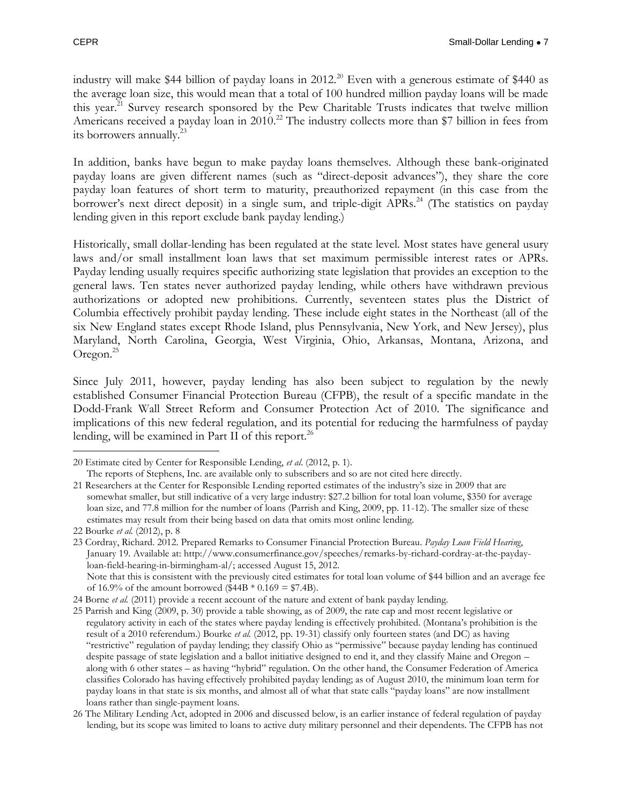industry will make \$44 billion of payday loans in 2012.<sup>20</sup> Even with a generous estimate of \$440 as the average loan size, this would mean that a total of 100 hundred million payday loans will be made this year.<sup>21</sup> Survey research sponsored by the Pew Charitable Trusts indicates that twelve million Americans received a payday loan in 2010.<sup>22</sup> The industry collects more than \$7 billion in fees from its borrowers annually.<sup>23</sup>

In addition, banks have begun to make payday loans themselves. Although these bank-originated payday loans are given different names (such as "direct-deposit advances"), they share the core payday loan features of short term to maturity, preauthorized repayment (in this case from the borrower's next direct deposit) in a single sum, and triple-digit APRs.<sup>24</sup> (The statistics on payday lending given in this report exclude bank payday lending.)

Historically, small dollar-lending has been regulated at the state level. Most states have general usury laws and/or small installment loan laws that set maximum permissible interest rates or APRs. Payday lending usually requires specific authorizing state legislation that provides an exception to the general laws. Ten states never authorized payday lending, while others have withdrawn previous authorizations or adopted new prohibitions. Currently, seventeen states plus the District of Columbia effectively prohibit payday lending. These include eight states in the Northeast (all of the six New England states except Rhode Island, plus Pennsylvania, New York, and New Jersey), plus Maryland, North Carolina, Georgia, West Virginia, Ohio, Arkansas, Montana, Arizona, and Oregon. $^{25}$ 

Since July 2011, however, payday lending has also been subject to regulation by the newly established Consumer Financial Protection Bureau (CFPB), the result of a specific mandate in the Dodd-Frank Wall Street Reform and Consumer Protection Act of 2010. The significance and implications of this new federal regulation, and its potential for reducing the harmfulness of payday lending, will be examined in Part II of this report.<sup>26</sup>

 $\overline{a}$ 20 Estimate cited by Center for Responsible Lending, *et al*. (2012, p. 1).

The reports of Stephens, Inc. are available only to subscribers and so are not cited here directly.

<sup>21</sup> Researchers at the Center for Responsible Lending reported estimates of the industry's size in 2009 that are somewhat smaller, but still indicative of a very large industry: \$27.2 billion for total loan volume, \$350 for average loan size, and 77.8 million for the number of loans (Parrish and King, 2009, pp. 11-12). The smaller size of these estimates may result from their being based on data that omits most online lending.

<sup>22</sup> Bourke *et al.* (2012), p. 8

<sup>23</sup> Cordray, Richard. 2012. Prepared Remarks to Consumer Financial Protection Bureau. *Payday Loan Field Hearing*, January 19. Available at: [http://www.consumerfinance.gov/speeches/remarks-by-richard-cordray-at-the-payday](http://www.consumerfinance.gov/speeches/remarks-by-richard-cordray-at-the-payday-loan-field-hearing-in-birmingham-al/)[loan-field-hearing-in-birmingham-al/;](http://www.consumerfinance.gov/speeches/remarks-by-richard-cordray-at-the-payday-loan-field-hearing-in-birmingham-al/) accessed August 15, 2012. Note that this is consistent with the previously cited estimates for total loan volume of \$44 billion and an average fee

of 16.9% of the amount borrowed (\$44B  $*$  0.169 = \$7.4B).

<sup>24</sup> Borne *et al.* (2011) provide a recent account of the nature and extent of bank payday lending.

<sup>25</sup> Parrish and King (2009, p. 30) provide a table showing, as of 2009, the rate cap and most recent legislative or regulatory activity in each of the states where payday lending is effectively prohibited. (Montana's prohibition is the result of a 2010 referendum.) Bourke *et al.* (2012, pp. 19-31) classify only fourteen states (and DC) as having "restrictive" regulation of payday lending; they classify Ohio as "permissive" because payday lending has continued despite passage of state legislation and a ballot initiative designed to end it, and they classify Maine and Oregon – along with 6 other states – as having "hybrid" regulation. On the other hand, the Consumer Federation of America classifies Colorado has having effectively prohibited payday lending; as of August 2010, the minimum loan term for payday loans in that state is six months, and almost all of what that state calls "payday loans" are now installment loans rather than single-payment loans.

<sup>26</sup> The Military Lending Act, adopted in 2006 and discussed below, is an earlier instance of federal regulation of payday lending, but its scope was limited to loans to active duty military personnel and their dependents. The CFPB has not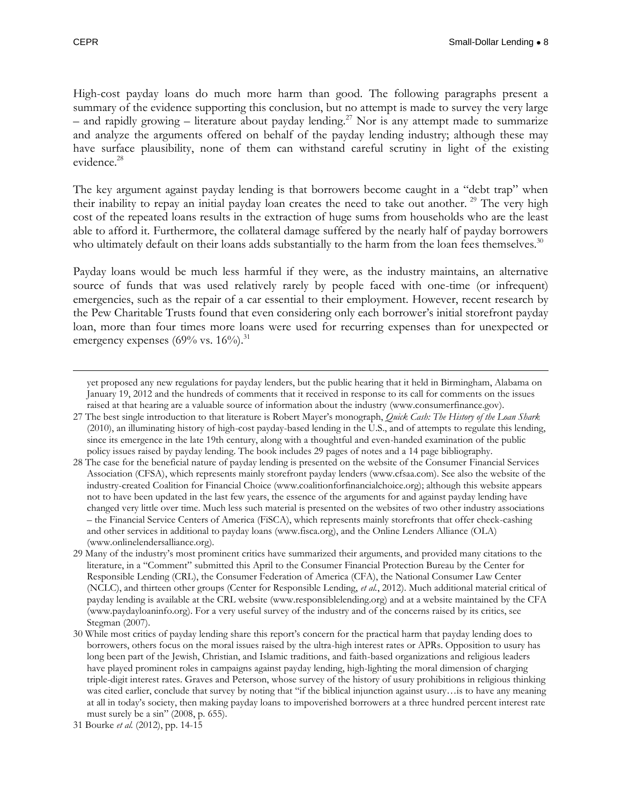$\overline{a}$ 

High-cost payday loans do much more harm than good. The following paragraphs present a summary of the evidence supporting this conclusion, but no attempt is made to survey the very large – and rapidly growing – literature about payday lending.<sup>27</sup> Nor is any attempt made to summarize and analyze the arguments offered on behalf of the payday lending industry; although these may have surface plausibility, none of them can withstand careful scrutiny in light of the existing evidence.<sup>28</sup>

The key argument against payday lending is that borrowers become caught in a "debt trap" when their inability to repay an initial payday loan creates the need to take out another.<sup>29</sup> The very high cost of the repeated loans results in the extraction of huge sums from households who are the least able to afford it. Furthermore, the collateral damage suffered by the nearly half of payday borrowers who ultimately default on their loans adds substantially to the harm from the loan fees themselves.<sup>30</sup>

Payday loans would be much less harmful if they were, as the industry maintains, an alternative source of funds that was used relatively rarely by people faced with one-time (or infrequent) emergencies, such as the repair of a car essential to their employment. However, recent research by the Pew Charitable Trusts found that even considering only each borrower's initial storefront payday loan, more than four times more loans were used for recurring expenses than for unexpected or emergency expenses (69% vs.  $16\%$ ).<sup>31</sup>

yet proposed any new regulations for payday lenders, but the public hearing that it held in Birmingham, Alabama on January 19, 2012 and the hundreds of comments that it received in response to its call for comments on the issues raised at that hearing are a valuable source of information about the industry [\(www.consumerfinance.gov\)](http://www.consumerfinance.gov/).

<sup>27</sup> The best single introduction to that literature is Robert Mayer's monograph, *Quick Cash: The History of the Loan Shark*  (2010), an illuminating history of high-cost payday-based lending in the U.S., and of attempts to regulate this lending, since its emergence in the late 19th century, along with a thoughtful and even-handed examination of the public policy issues raised by payday lending. The book includes 29 pages of notes and a 14 page bibliography.

<sup>28</sup> The case for the beneficial nature of payday lending is presented on the website of the Consumer Financial Services Association (CFSA), which represents mainly storefront payday lenders [\(www.cfsaa.com\)](http://www.cfsaa.com/). See also the website of the industry-created Coalition for Financial Choice (www.coalitionforfinancialchoice.org); although this website appears not to have been updated in the last few years, the essence of the arguments for and against payday lending have changed very little over time. Much less such material is presented on the websites of two other industry associations – the Financial Service Centers of America (FiSCA), which represents mainly storefronts that offer check-cashing and other services in additional to payday loans (www.fisca.org), and the Online Lenders Alliance (OLA) [\(www.onlinelendersalliance.org\)](http://www.onlinelendersalliance.org/).

<sup>29</sup> Many of the industry's most prominent critics have summarized their arguments, and provided many citations to the literature, in a "Comment" submitted this April to the Consumer Financial Protection Bureau by the Center for Responsible Lending (CRL), the Consumer Federation of America (CFA), the National Consumer Law Center (NCLC), and thirteen other groups (Center for Responsible Lending, *et al.*, 2012). Much additional material critical of payday lending is available at the CRL website [\(www.responsiblelending.org\)](http://www.responsiblelending.org/) and at a website maintained by the CFA [\(www.paydayloaninfo.org\)](http://www.paydayloaninfo.org/). For a very useful survey of the industry and of the concerns raised by its critics, see Stegman (2007).

<sup>30</sup> While most critics of payday lending share this report's concern for the practical harm that payday lending does to borrowers, others focus on the moral issues raised by the ultra-high interest rates or APRs. Opposition to usury has long been part of the Jewish, Christian, and Islamic traditions, and faith-based organizations and religious leaders have played prominent roles in campaigns against payday lending, high-lighting the moral dimension of charging triple-digit interest rates. Graves and Peterson, whose survey of the history of usury prohibitions in religious thinking was cited earlier, conclude that survey by noting that "if the biblical injunction against usury…is to have any meaning at all in today's society, then making payday loans to impoverished borrowers at a three hundred percent interest rate must surely be a sin" (2008, p. 655).

<sup>31</sup> Bourke *et al.* (2012), pp. 14-15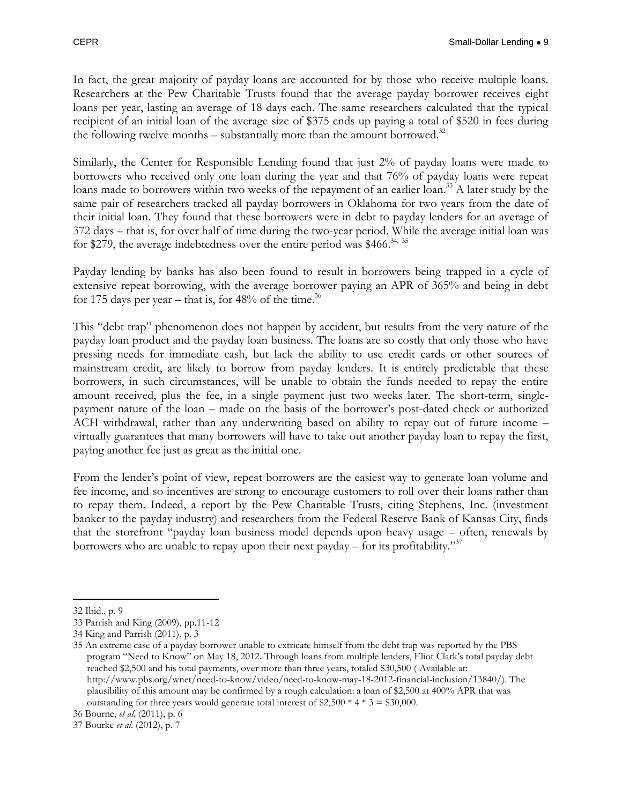In fact, the great majority of payday loans are accounted for by those who receive multiple loans. Researchers at the Pew Charitable Trusts found that the average payday borrower receives eight loans per year, lasting an average of 18 days each. The same researchers calculated that the typical recipient of an initial loan of the average size of \$375 ends up paying a total of \$520 in fees during the following twelve months – substantially more than the amount borrowed. $32$ 

Similarly, the Center for Responsible Lending found that just 2% of payday loans were made to borrowers who received only one loan during the year and that 76% of payday loans were repeat loans made to borrowers within two weeks of the repayment of an earlier loan.<sup>33</sup> A later study by the same pair of researchers tracked all payday borrowers in Oklahoma for two years from the date of their initial loan. They found that these borrowers were in debt to payday lenders for an average of 372 days – that is, for over half of time during the two-year period. While the average initial loan was for \$279, the average indebtedness over the entire period was \$466.<sup>34, 35</sup>

Payday lending by banks has also been found to result in borrowers being trapped in a cycle of extensive repeat borrowing, with the average borrower paying an APR of 365% and being in debt for 175 days per year – that is, for  $48\%$  of the time.<sup>36</sup>

This "debt trap" phenomenon does not happen by accident, but results from the very nature of the payday loan product and the payday loan business. The loans are so costly that only those who have pressing needs for immediate cash, but lack the ability to use credit cards or other sources of mainstream credit, are likely to borrow from payday lenders. It is entirely predictable that these borrowers, in such circumstances, will be unable to obtain the funds needed to repay the entire amount received, plus the fee, in a single payment just two weeks later. The short-term, singlepayment nature of the loan – made on the basis of the borrower's post-dated check or authorized ACH withdrawal, rather than any underwriting based on ability to repay out of future income – virtually guarantees that many borrowers will have to take out another payday loan to repay the first, paying another fee just as great as the initial one.

From the lender's point of view, repeat borrowers are the easiest way to generate loan volume and fee income, and so incentives are strong to encourage customers to roll over their loans rather than to repay them. Indeed, a report by the Pew Charitable Trusts, citing Stephens, Inc. (investment banker to the payday industry) and researchers from the Federal Reserve Bank of Kansas City, finds that the storefront "payday loan business model depends upon heavy usage – often, renewals by borrowers who are unable to repay upon their next payday – for its profitability."<sup>37</sup>

 $\overline{a}$ 32 Ibid., p. 9

<sup>33</sup> Parrish and King (2009), pp.11-12

<sup>34</sup> King and Parrish (2011), p. 3

<sup>35</sup> An extreme case of a payday borrower unable to extricate himself from the debt trap was reported by the PBS program "Need to Know" on May 18, 2012. Through loans from multiple lenders, Eliot Clark's total payday debt reached \$2,500 and his total payments, over more than three years, totaled \$30,500 ( [Available at:](file:///C:/Users/Jim/Downloads/Available%20at:%20http:/www.pbs.org/wnet/need-to-know/video/need-to-know-may-18-2012-financial-inclusion/13840/)  [http://www.pbs.org/wnet/need-to-know/video/need-to-know-may-18-2012-financial-inclusion/13840/\)](file:///C:/Users/Jim/Downloads/Available%20at:%20http:/www.pbs.org/wnet/need-to-know/video/need-to-know-may-18-2012-financial-inclusion/13840/). The plausibility of this amount may be confirmed by a rough calculation: a loan of \$2,500 at 400% APR that was outstanding for three years would generate total interest of  $2,500 * 4 * 3 = 30,000$ .

<sup>36</sup> Bourne, *et al.* (2011), p. 6

<sup>37</sup> Bourke *et al*. (2012), p. 7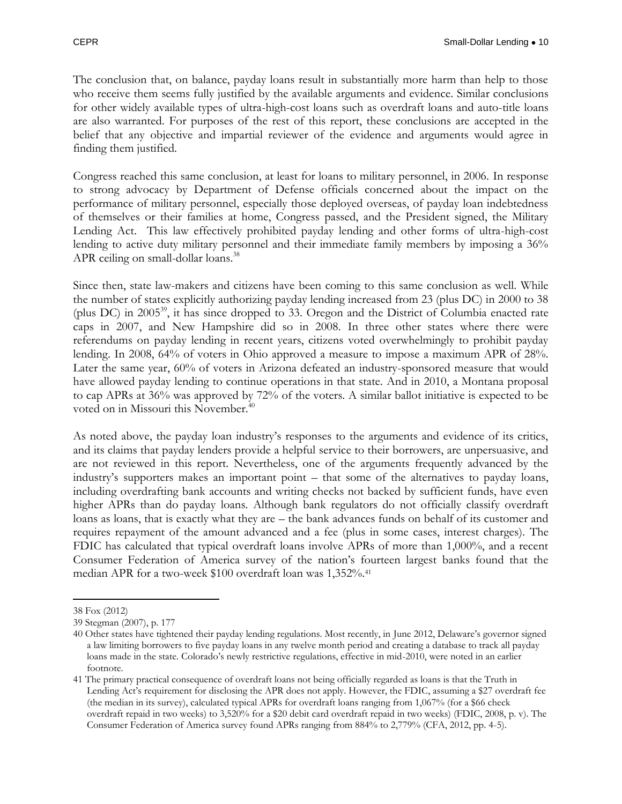The conclusion that, on balance, payday loans result in substantially more harm than help to those who receive them seems fully justified by the available arguments and evidence. Similar conclusions for other widely available types of ultra-high-cost loans such as overdraft loans and auto-title loans are also warranted. For purposes of the rest of this report, these conclusions are accepted in the belief that any objective and impartial reviewer of the evidence and arguments would agree in finding them justified.

Congress reached this same conclusion, at least for loans to military personnel, in 2006. In response to strong advocacy by Department of Defense officials concerned about the impact on the performance of military personnel, especially those deployed overseas, of payday loan indebtedness of themselves or their families at home, Congress passed, and the President signed, the Military Lending Act. This law effectively prohibited payday lending and other forms of ultra-high-cost lending to active duty military personnel and their immediate family members by imposing a 36% APR ceiling on small-dollar loans.<sup>38</sup>

Since then, state law-makers and citizens have been coming to this same conclusion as well. While the number of states explicitly authorizing payday lending increased from 23 (plus DC) in 2000 to 38 (plus DC) in 2005<sup>39</sup>, it has since dropped to 33. Oregon and the District of Columbia enacted rate caps in 2007, and New Hampshire did so in 2008. In three other states where there were referendums on payday lending in recent years, citizens voted overwhelmingly to prohibit payday lending. In 2008, 64% of voters in Ohio approved a measure to impose a maximum APR of 28%. Later the same year, 60% of voters in Arizona defeated an industry-sponsored measure that would have allowed payday lending to continue operations in that state. And in 2010, a Montana proposal to cap APRs at 36% was approved by 72% of the voters. A similar ballot initiative is expected to be voted on in Missouri this November.<sup>40</sup>

As noted above, the payday loan industry's responses to the arguments and evidence of its critics, and its claims that payday lenders provide a helpful service to their borrowers, are unpersuasive, and are not reviewed in this report. Nevertheless, one of the arguments frequently advanced by the industry's supporters makes an important point – that some of the alternatives to payday loans, including overdrafting bank accounts and writing checks not backed by sufficient funds, have even higher APRs than do payday loans. Although bank regulators do not officially classify overdraft loans as loans, that is exactly what they are – the bank advances funds on behalf of its customer and requires repayment of the amount advanced and a fee (plus in some cases, interest charges). The FDIC has calculated that typical overdraft loans involve APRs of more than 1,000%, and a recent Consumer Federation of America survey of the nation's fourteen largest banks found that the median APR for a two-week \$100 overdraft loan was 1,352%.<sup>41</sup>

<sup>38</sup> Fox (2012)

<sup>39</sup> Stegman (2007), p. 177

<sup>40</sup> Other states have tightened their payday lending regulations. Most recently, in June 2012, Delaware's governor signed a law limiting borrowers to five payday loans in any twelve month period and creating a database to track all payday loans made in the state. Colorado's newly restrictive regulations, effective in mid-2010, were noted in an earlier footnote.

<sup>41</sup> The primary practical consequence of overdraft loans not being officially regarded as loans is that the Truth in Lending Act's requirement for disclosing the APR does not apply. However, the FDIC, assuming a \$27 overdraft fee (the median in its survey), calculated typical APRs for overdraft loans ranging from 1,067% (for a \$66 check overdraft repaid in two weeks) to 3,520% for a \$20 debit card overdraft repaid in two weeks) (FDIC, 2008, p. v). The Consumer Federation of America survey found APRs ranging from 884% to 2,779% (CFA, 2012, pp. 4-5).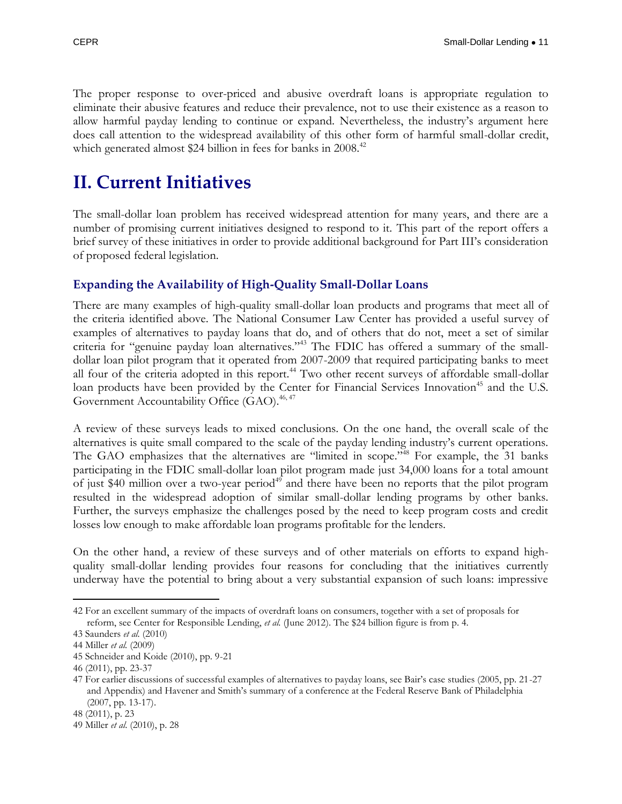The proper response to over-priced and abusive overdraft loans is appropriate regulation to eliminate their abusive features and reduce their prevalence, not to use their existence as a reason to allow harmful payday lending to continue or expand. Nevertheless, the industry's argument here does call attention to the widespread availability of this other form of harmful small-dollar credit, which generated almost \$24 billion in fees for banks in 2008.<sup>42</sup>

### <span id="page-12-0"></span>**II. Current Initiatives**

The small-dollar loan problem has received widespread attention for many years, and there are a number of promising current initiatives designed to respond to it. This part of the report offers a brief survey of these initiatives in order to provide additional background for Part III's consideration of proposed federal legislation.

#### <span id="page-12-1"></span>**Expanding the Availability of High-Quality Small-Dollar Loans**

There are many examples of high-quality small-dollar loan products and programs that meet all of the criteria identified above. The National Consumer Law Center has provided a useful survey of examples of alternatives to payday loans that do, and of others that do not, meet a set of similar criteria for "genuine payday loan alternatives."<sup>43</sup> The FDIC has offered a summary of the smalldollar loan pilot program that it operated from 2007-2009 that required participating banks to meet all four of the criteria adopted in this report. <sup>44</sup> Two other recent surveys of affordable small-dollar loan products have been provided by the Center for Financial Services Innovation<sup>45</sup> and the U.S. Government Accountability Office (GAO). 46, 47

A review of these surveys leads to mixed conclusions. On the one hand, the overall scale of the alternatives is quite small compared to the scale of the payday lending industry's current operations. The GAO emphasizes that the alternatives are "limited in scope."<sup>48</sup> For example, the 31 banks participating in the FDIC small-dollar loan pilot program made just 34,000 loans for a total amount of just \$40 million over a two-year period<sup>49</sup> and there have been no reports that the pilot program resulted in the widespread adoption of similar small-dollar lending programs by other banks. Further, the surveys emphasize the challenges posed by the need to keep program costs and credit losses low enough to make affordable loan programs profitable for the lenders.

On the other hand, a review of these surveys and of other materials on efforts to expand highquality small-dollar lending provides four reasons for concluding that the initiatives currently underway have the potential to bring about a very substantial expansion of such loans: impressive

 $\overline{a}$ 42 For an excellent summary of the impacts of overdraft loans on consumers, together with a set of proposals for reform, see Center for Responsible Lending, *et al.* (June 2012). The \$24 billion figure is from p. 4.

<sup>43</sup> Saunders *et al.* (2010)

<sup>44</sup> Miller *et al.* (2009)

<sup>45</sup> Schneider and Koide (2010), pp. 9-21

<sup>46</sup> (2011), pp. 23-37

<sup>47</sup> For earlier discussions of successful examples of alternatives to payday loans, see Bair's case studies (2005, pp. 21-27 and Appendix) and Havener and Smith's summary of a conference at the Federal Reserve Bank of Philadelphia (2007, pp. 13-17).

<sup>48</sup> (2011), p. 23

<sup>49</sup> Miller *et al*. (2010), p. 28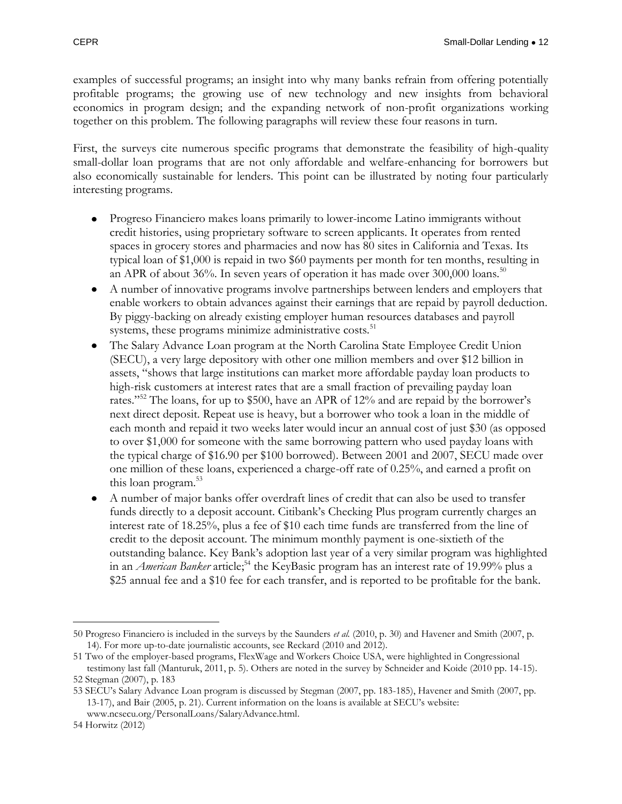examples of successful programs; an insight into why many banks refrain from offering potentially profitable programs; the growing use of new technology and new insights from behavioral economics in program design; and the expanding network of non-profit organizations working together on this problem. The following paragraphs will review these four reasons in turn.

First, the surveys cite numerous specific programs that demonstrate the feasibility of high-quality small-dollar loan programs that are not only affordable and welfare-enhancing for borrowers but also economically sustainable for lenders. This point can be illustrated by noting four particularly interesting programs.

- Progreso Financiero makes loans primarily to lower-income Latino immigrants without credit histories, using proprietary software to screen applicants. It operates from rented spaces in grocery stores and pharmacies and now has 80 sites in California and Texas. Its typical loan of \$1,000 is repaid in two \$60 payments per month for ten months, resulting in an APR of about 36%. In seven years of operation it has made over  $300,000$  loans.<sup>50</sup>
- A number of innovative programs involve partnerships between lenders and employers that enable workers to obtain advances against their earnings that are repaid by payroll deduction. By piggy-backing on already existing employer human resources databases and payroll systems, these programs minimize administrative costs. $51$
- The Salary Advance Loan program at the North Carolina State Employee Credit Union (SECU), a very large depository with other one million members and over \$12 billion in assets, "shows that large institutions can market more affordable payday loan products to high-risk customers at interest rates that are a small fraction of prevailing payday loan rates."<sup>52</sup> The loans, for up to \$500, have an APR of 12% and are repaid by the borrower's next direct deposit. Repeat use is heavy, but a borrower who took a loan in the middle of each month and repaid it two weeks later would incur an annual cost of just \$30 (as opposed to over \$1,000 for someone with the same borrowing pattern who used payday loans with the typical charge of \$16.90 per \$100 borrowed). Between 2001 and 2007, SECU made over one million of these loans, experienced a charge-off rate of 0.25%, and earned a profit on this loan program.<sup>53</sup>
- A number of major banks offer overdraft lines of credit that can also be used to transfer  $\bullet$ funds directly to a deposit account. Citibank's Checking Plus program currently charges an interest rate of 18.25%, plus a fee of \$10 each time funds are transferred from the line of credit to the deposit account. The minimum monthly payment is one-sixtieth of the outstanding balance. Key Bank's adoption last year of a very similar program was highlighted in an *American Banker* article; <sup>54</sup> the KeyBasic program has an interest rate of 19.99% plus a \$25 annual fee and a \$10 fee for each transfer, and is reported to be profitable for the bank.

 $\overline{a}$ 50 Progreso Financiero is included in the surveys by the Saunders *et al.* (2010, p. 30) and Havener and Smith (2007, p. 14). For more up-to-date journalistic accounts, see Reckard (2010 and 2012).

<sup>51</sup> Two of the employer-based programs, FlexWage and Workers Choice USA, were highlighted in Congressional testimony last fall (Manturuk, 2011, p. 5). Others are noted in the survey by Schneider and Koide (2010 pp. 14-15). 52 Stegman (2007), p. 183

<sup>53</sup> SECU's Salary Advance Loan program is discussed by Stegman (2007, pp. 183-185), Havener and Smith (2007, pp. 13-17), and Bair (2005, p. 21). Current information on the loans is available at SECU's website: [www.ncsecu.org/PersonalLoans/SalaryAdvance.html.](http://www.ncsecu.org/PersonalLoans/SalaryAdvance.html)

<sup>54</sup> Horwitz (2012)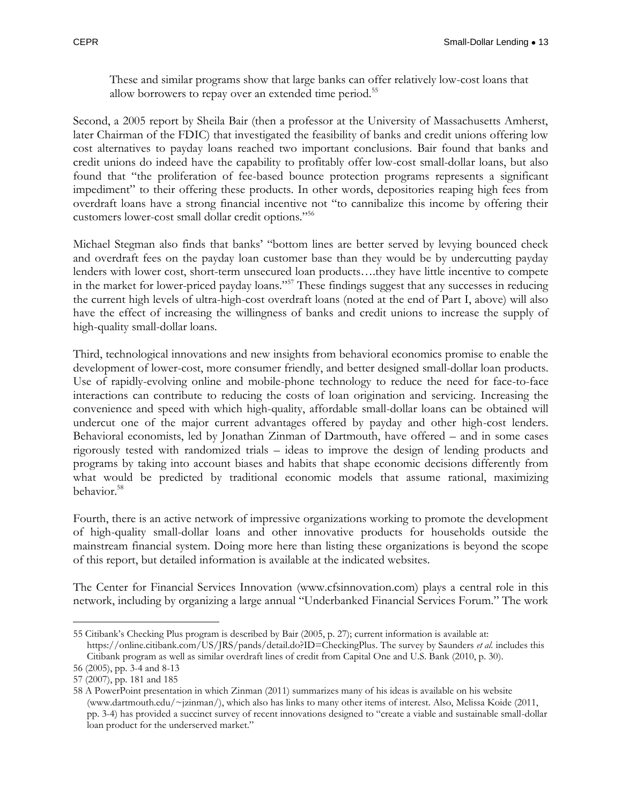These and similar programs show that large banks can offer relatively low-cost loans that allow borrowers to repay over an extended time period.<sup>55</sup>

Second, a 2005 report by Sheila Bair (then a professor at the University of Massachusetts Amherst, later Chairman of the FDIC) that investigated the feasibility of banks and credit unions offering low cost alternatives to payday loans reached two important conclusions. Bair found that banks and credit unions do indeed have the capability to profitably offer low-cost small-dollar loans, but also found that "the proliferation of fee-based bounce protection programs represents a significant impediment" to their offering these products. In other words, depositories reaping high fees from overdraft loans have a strong financial incentive not "to cannibalize this income by offering their customers lower-cost small dollar credit options."<sup>56</sup>

Michael Stegman also finds that banks' "bottom lines are better served by levying bounced check and overdraft fees on the payday loan customer base than they would be by undercutting payday lenders with lower cost, short-term unsecured loan products….they have little incentive to compete in the market for lower-priced payday loans."<sup>57</sup> These findings suggest that any successes in reducing the current high levels of ultra-high-cost overdraft loans (noted at the end of Part I, above) will also have the effect of increasing the willingness of banks and credit unions to increase the supply of high-quality small-dollar loans.

Third, technological innovations and new insights from behavioral economics promise to enable the development of lower-cost, more consumer friendly, and better designed small-dollar loan products. Use of rapidly-evolving online and mobile-phone technology to reduce the need for face-to-face interactions can contribute to reducing the costs of loan origination and servicing. Increasing the convenience and speed with which high-quality, affordable small-dollar loans can be obtained will undercut one of the major current advantages offered by payday and other high-cost lenders. Behavioral economists, led by Jonathan Zinman of Dartmouth, have offered – and in some cases rigorously tested with randomized trials – ideas to improve the design of lending products and programs by taking into account biases and habits that shape economic decisions differently from what would be predicted by traditional economic models that assume rational, maximizing behavior.<sup>58</sup>

Fourth, there is an active network of impressive organizations working to promote the development of high-quality small-dollar loans and other innovative products for households outside the mainstream financial system. Doing more here than listing these organizations is beyond the scope of this report, but detailed information is available at the indicated websites.

The Center for Financial Services Innovation [\(www.cfsinnovation.com\)](http://www.cfsinnovation.com/) plays a central role in this network, including by organizing a large annual "Underbanked Financial Services Forum." The work

 $\overline{a}$ 55 Citibank's Checking Plus program is described by Bair (2005, p. 27); current information is available at: [https://online.citibank.com/US/JRS/pands/detail.do?ID=CheckingPlus.](https://online.citibank.com/US/JRS/pands/detail.do?ID=CheckingPlus) The survey by Saunders *et al.* includes this Citibank program as well as similar overdraft lines of credit from Capital One and U.S. Bank (2010, p. 30).

<sup>56</sup> (2005), pp. 3-4 and 8-13

<sup>57</sup> (2007), pp. 181 and 185

<sup>58</sup> A PowerPoint presentation in which Zinman (2011) summarizes many of his ideas is available on his website (www.dartmouth.edu/~jzinman/), which also has links to many other items of interest. Also, Melissa Koide (2011, pp. 3-4) has provided a succinct survey of recent innovations designed to "create a viable and sustainable small-dollar loan product for the underserved market."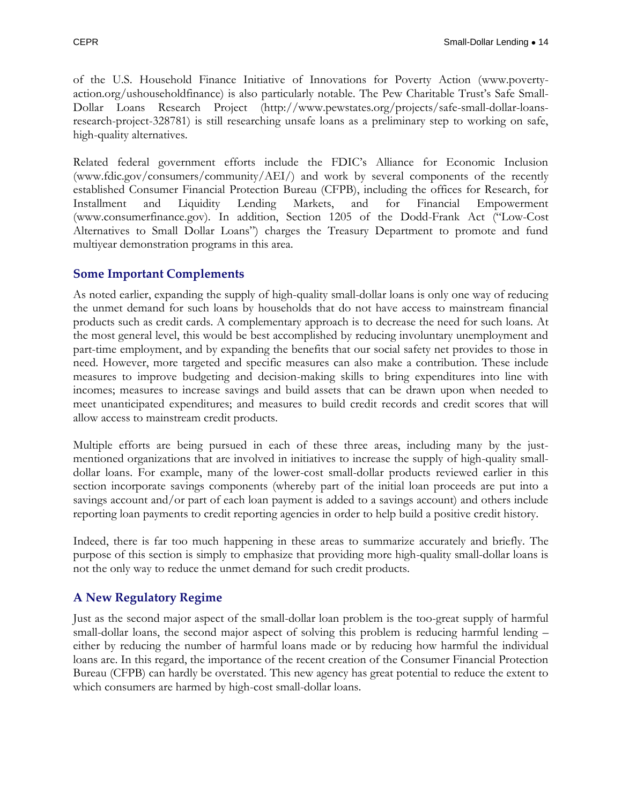of the U.S. Household Finance Initiative of Innovations for Poverty Action [\(www.poverty](http://www.poverty-action.org/ushouseholdfinance)[action.org/ushouseholdfinance\)](http://www.poverty-action.org/ushouseholdfinance) is also particularly notable. The Pew Charitable Trust's Safe Small-Dollar Loans Research Project [\(http://www.pewstates.org/projects/safe-small-dollar-loans](http://www.pewstates.org/projects/safe-small-dollar-loans-research-project-328781)[research-project-328781\)](http://www.pewstates.org/projects/safe-small-dollar-loans-research-project-328781) is still researching unsafe loans as a preliminary step to working on safe, high-quality alternatives.

Related federal government efforts include the FDIC's Alliance for Economic Inclusion [\(www.fdic.gov/consumers/community/AEI/\)](http://www.fdic.gov/consumers/community/AEI/) and work by several components of the recently established Consumer Financial Protection Bureau (CFPB), including the offices for Research, for Installment and Liquidity Lending Markets, and for Financial Empowerment [\(www.consumerfinance.gov\)](http://www.consumerfinance.gov/). In addition, Section 1205 of the Dodd-Frank Act ("Low-Cost Alternatives to Small Dollar Loans") charges the Treasury Department to promote and fund multiyear demonstration programs in this area.

#### <span id="page-15-0"></span>**Some Important Complements**

As noted earlier, expanding the supply of high-quality small-dollar loans is only one way of reducing the unmet demand for such loans by households that do not have access to mainstream financial products such as credit cards. A complementary approach is to decrease the need for such loans. At the most general level, this would be best accomplished by reducing involuntary unemployment and part-time employment, and by expanding the benefits that our social safety net provides to those in need. However, more targeted and specific measures can also make a contribution. These include measures to improve budgeting and decision-making skills to bring expenditures into line with incomes; measures to increase savings and build assets that can be drawn upon when needed to meet unanticipated expenditures; and measures to build credit records and credit scores that will allow access to mainstream credit products.

Multiple efforts are being pursued in each of these three areas, including many by the justmentioned organizations that are involved in initiatives to increase the supply of high-quality smalldollar loans. For example, many of the lower-cost small-dollar products reviewed earlier in this section incorporate savings components (whereby part of the initial loan proceeds are put into a savings account and/or part of each loan payment is added to a savings account) and others include reporting loan payments to credit reporting agencies in order to help build a positive credit history.

Indeed, there is far too much happening in these areas to summarize accurately and briefly. The purpose of this section is simply to emphasize that providing more high-quality small-dollar loans is not the only way to reduce the unmet demand for such credit products.

#### <span id="page-15-1"></span>**A New Regulatory Regime**

Just as the second major aspect of the small-dollar loan problem is the too-great supply of harmful small-dollar loans, the second major aspect of solving this problem is reducing harmful lending – either by reducing the number of harmful loans made or by reducing how harmful the individual loans are. In this regard, the importance of the recent creation of the Consumer Financial Protection Bureau (CFPB) can hardly be overstated. This new agency has great potential to reduce the extent to which consumers are harmed by high-cost small-dollar loans.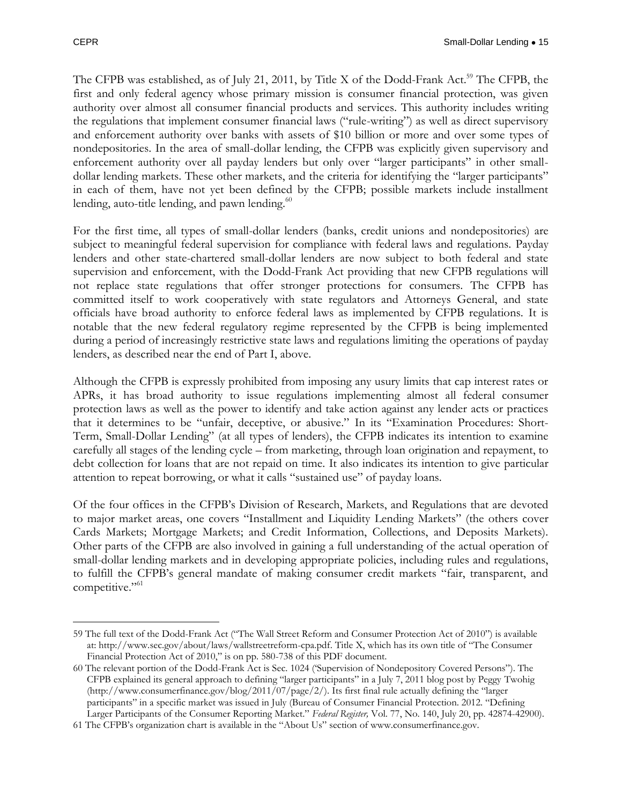The CFPB was established, as of July 21, 2011, by Title X of the Dodd-Frank Act.<sup>59</sup> The CFPB, the first and only federal agency whose primary mission is consumer financial protection, was given authority over almost all consumer financial products and services. This authority includes writing the regulations that implement consumer financial laws ("rule-writing") as well as direct supervisory and enforcement authority over banks with assets of \$10 billion or more and over some types of nondepositories. In the area of small-dollar lending, the CFPB was explicitly given supervisory and enforcement authority over all payday lenders but only over "larger participants" in other smalldollar lending markets. These other markets, and the criteria for identifying the "larger participants" in each of them, have not yet been defined by the CFPB; possible markets include installment lending, auto-title lending, and pawn lending. $60$ 

For the first time, all types of small-dollar lenders (banks, credit unions and nondepositories) are subject to meaningful federal supervision for compliance with federal laws and regulations. Payday lenders and other state-chartered small-dollar lenders are now subject to both federal and state supervision and enforcement, with the Dodd-Frank Act providing that new CFPB regulations will not replace state regulations that offer stronger protections for consumers. The CFPB has committed itself to work cooperatively with state regulators and Attorneys General, and state officials have broad authority to enforce federal laws as implemented by CFPB regulations. It is notable that the new federal regulatory regime represented by the CFPB is being implemented during a period of increasingly restrictive state laws and regulations limiting the operations of payday lenders, as described near the end of Part I, above.

Although the CFPB is expressly prohibited from imposing any usury limits that cap interest rates or APRs, it has broad authority to issue regulations implementing almost all federal consumer protection laws as well as the power to identify and take action against any lender acts or practices that it determines to be "unfair, deceptive, or abusive." In its "Examination Procedures: Short-Term, Small-Dollar Lending" (at all types of lenders), the CFPB indicates its intention to examine carefully all stages of the lending cycle – from marketing, through loan origination and repayment, to debt collection for loans that are not repaid on time. It also indicates its intention to give particular attention to repeat borrowing, or what it calls "sustained use" of payday loans.

Of the four offices in the CFPB's Division of Research, Markets, and Regulations that are devoted to major market areas, one covers "Installment and Liquidity Lending Markets" (the others cover Cards Markets; Mortgage Markets; and Credit Information, Collections, and Deposits Markets). Other parts of the CFPB are also involved in gaining a full understanding of the actual operation of small-dollar lending markets and in developing appropriate policies, including rules and regulations, to fulfill the CFPB's general mandate of making consumer credit markets "fair, transparent, and competitive."<sup>61</sup>

 $\overline{a}$ 59 The full text of the Dodd-Frank Act ("The Wall Street Reform and Consumer Protection Act of 2010") is available at: [http://www.sec.gov/about/laws/wallstreetreform-cpa.pdf.](http://www.sec.gov/about/laws/wallstreetreform-cpa.pdf) Title X, which has its own title of "The Consumer Financial Protection Act of 2010," is on pp. 580-738 of this PDF document.

<sup>60</sup> The relevant portion of the Dodd-Frank Act is Sec. 1024 ('Supervision of Nondepository Covered Persons"). The CFPB explained its general approach to defining "larger participants" in a July 7, 2011 blog post by Peggy Twohig [\(http://www.consumerfinance.gov/blog/2011/07/page/2/\)](http://www.consumerfinance.gov/blog/2011/07/page/2/). Its first final rule actually defining the "larger" participants" in a specific market was issued in July (Bureau of Consumer Financial Protection. 2012. "Defining Larger Participants of the Consumer Reporting Market." *Federal Register,* Vol. 77, No. 140, July 20, pp. 42874-42900).

<sup>61</sup> The CFPB's organization chart is available in the "About Us" section of www.consumerfinance.gov.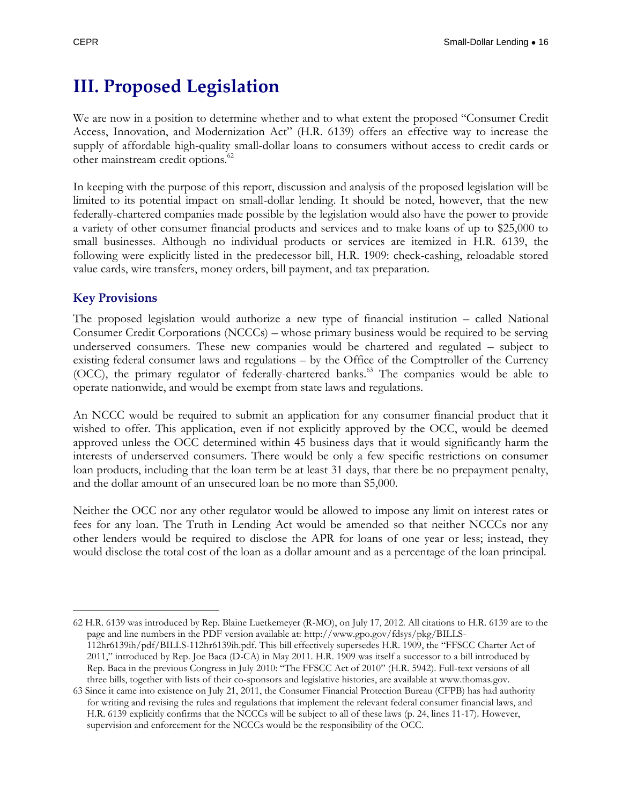### <span id="page-17-0"></span>**III. Proposed Legislation**

We are now in a position to determine whether and to what extent the proposed "Consumer Credit Access, Innovation, and Modernization Act" (H.R. 6139) offers an effective way to increase the supply of affordable high-quality small-dollar loans to consumers without access to credit cards or other mainstream credit options.<sup>62</sup>

In keeping with the purpose of this report, discussion and analysis of the proposed legislation will be limited to its potential impact on small-dollar lending. It should be noted, however, that the new federally-chartered companies made possible by the legislation would also have the power to provide a variety of other consumer financial products and services and to make loans of up to \$25,000 to small businesses. Although no individual products or services are itemized in H.R. 6139, the following were explicitly listed in the predecessor bill, H.R. 1909: check-cashing, reloadable stored value cards, wire transfers, money orders, bill payment, and tax preparation.

#### <span id="page-17-1"></span>**Key Provisions**

The proposed legislation would authorize a new type of financial institution – called National Consumer Credit Corporations (NCCCs) – whose primary business would be required to be serving underserved consumers. These new companies would be chartered and regulated – subject to existing federal consumer laws and regulations – by the Office of the Comptroller of the Currency (OCC), the primary regulator of federally-chartered banks.<sup>63</sup> The companies would be able to operate nationwide, and would be exempt from state laws and regulations.

An NCCC would be required to submit an application for any consumer financial product that it wished to offer. This application, even if not explicitly approved by the OCC, would be deemed approved unless the OCC determined within 45 business days that it would significantly harm the interests of underserved consumers. There would be only a few specific restrictions on consumer loan products, including that the loan term be at least 31 days, that there be no prepayment penalty, and the dollar amount of an unsecured loan be no more than \$5,000.

Neither the OCC nor any other regulator would be allowed to impose any limit on interest rates or fees for any loan. The Truth in Lending Act would be amended so that neither NCCCs nor any other lenders would be required to disclose the APR for loans of one year or less; instead, they would disclose the total cost of the loan as a dollar amount and as a percentage of the loan principal.

 $\overline{a}$ 62 H.R. 6139 was introduced by Rep. Blaine Luetkemeyer (R-MO), on July 17, 2012. All citations to H.R. 6139 are to the page and line numbers in the PDF version available at: [http://www.gpo.gov/fdsys/pkg/BILLS-](http://www.gpo.gov/fdsys/pkg/BILLS-112hr6139ih/pdf/BILLS-112hr6139ih.pdf)[112hr6139ih/pdf/BILLS-112hr6139ih.pdf](http://www.gpo.gov/fdsys/pkg/BILLS-112hr6139ih/pdf/BILLS-112hr6139ih.pdf). This bill effectively supersedes H.R. 1909, the "FFSCC Charter Act of 2011," introduced by Rep. Joe Baca (D-CA) in May 2011. H.R. 1909 was itself a successor to a bill introduced by Rep. Baca in the previous Congress in July 2010: "The FFSCC Act of 2010" (H.R. 5942). Full-text versions of all three bills, together with lists of their co-sponsors and legislative histories, are available at www.thomas.gov.

<sup>63</sup> Since it came into existence on July 21, 2011, the Consumer Financial Protection Bureau (CFPB) has had authority for writing and revising the rules and regulations that implement the relevant federal consumer financial laws, and H.R. 6139 explicitly confirms that the NCCCs will be subject to all of these laws (p. 24, lines 11-17). However, supervision and enforcement for the NCCCs would be the responsibility of the OCC.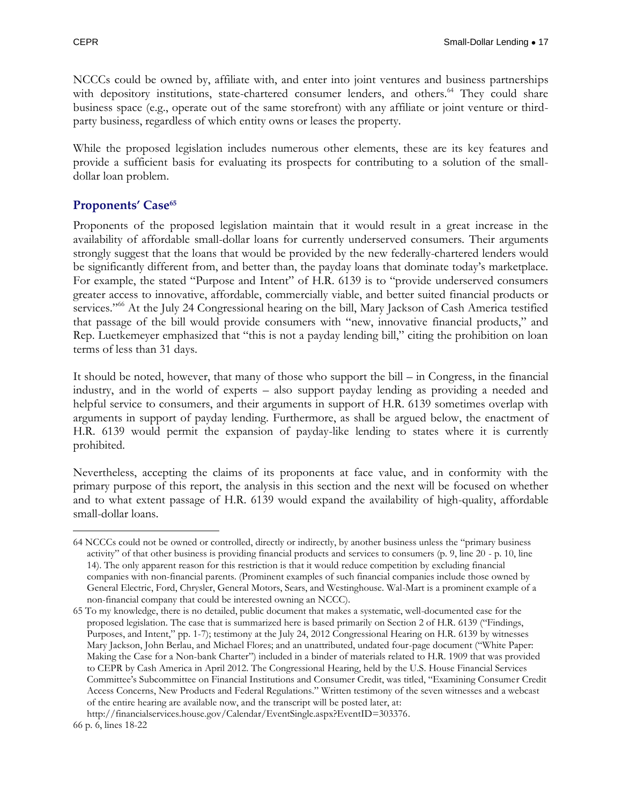NCCCs could be owned by, affiliate with, and enter into joint ventures and business partnerships with depository institutions, state-chartered consumer lenders, and others.<sup>64</sup> They could share business space (e.g., operate out of the same storefront) with any affiliate or joint venture or thirdparty business, regardless of which entity owns or leases the property.

While the proposed legislation includes numerous other elements, these are its key features and provide a sufficient basis for evaluating its prospects for contributing to a solution of the smalldollar loan problem.

#### <span id="page-18-0"></span>**Proponents' Case<sup>65</sup>**

Proponents of the proposed legislation maintain that it would result in a great increase in the availability of affordable small-dollar loans for currently underserved consumers. Their arguments strongly suggest that the loans that would be provided by the new federally-chartered lenders would be significantly different from, and better than, the payday loans that dominate today's marketplace. For example, the stated "Purpose and Intent" of H.R. 6139 is to "provide underserved consumers greater access to innovative, affordable, commercially viable, and better suited financial products or services."<sup>66</sup> At the July 24 Congressional hearing on the bill, Mary Jackson of Cash America testified that passage of the bill would provide consumers with "new, innovative financial products," and Rep. Luetkemeyer emphasized that "this is not a payday lending bill," citing the prohibition on loan terms of less than 31 days.

It should be noted, however, that many of those who support the bill – in Congress, in the financial industry, and in the world of experts – also support payday lending as providing a needed and helpful service to consumers, and their arguments in support of H.R. 6139 sometimes overlap with arguments in support of payday lending. Furthermore, as shall be argued below, the enactment of H.R. 6139 would permit the expansion of payday-like lending to states where it is currently prohibited.

Nevertheless, accepting the claims of its proponents at face value, and in conformity with the primary purpose of this report, the analysis in this section and the next will be focused on whether and to what extent passage of H.R. 6139 would expand the availability of high-quality, affordable small-dollar loans.

 $\overline{a}$ 64 NCCCs could not be owned or controlled, directly or indirectly, by another business unless the "primary business activity" of that other business is providing financial products and services to consumers (p. 9, line 20 - p. 10, line 14). The only apparent reason for this restriction is that it would reduce competition by excluding financial companies with non-financial parents. (Prominent examples of such financial companies include those owned by General Electric, Ford, Chrysler, General Motors, Sears, and Westinghouse. Wal-Mart is a prominent example of a non-financial company that could be interested owning an NCCC).

<sup>65</sup> To my knowledge, there is no detailed, public document that makes a systematic, well-documented case for the proposed legislation. The case that is summarized here is based primarily on Section 2 of H.R. 6139 ("Findings, Purposes, and Intent," pp. 1-7); testimony at the July 24, 2012 Congressional Hearing on H.R. 6139 by witnesses Mary Jackson, John Berlau, and Michael Flores; and an unattributed, undated four-page document ("White Paper: Making the Case for a Non-bank Charter") included in a binder of materials related to H.R. 1909 that was provided to CEPR by Cash America in April 2012. The Congressional Hearing, held by the U.S. House Financial Services Committee's Subcommittee on Financial Institutions and Consumer Credit, was titled, "Examining Consumer Credit Access Concerns, New Products and Federal Regulations." Written testimony of the seven witnesses and a webcast of the entire hearing are available now, and the transcript will be posted later, at:

[http://financialservices.house.gov/Calendar/EventSingle.aspx?EventID=303376.](http://financialservices.house.gov/Calendar/EventSingle.aspx?EventID=303376) 66 p. 6, lines 18-22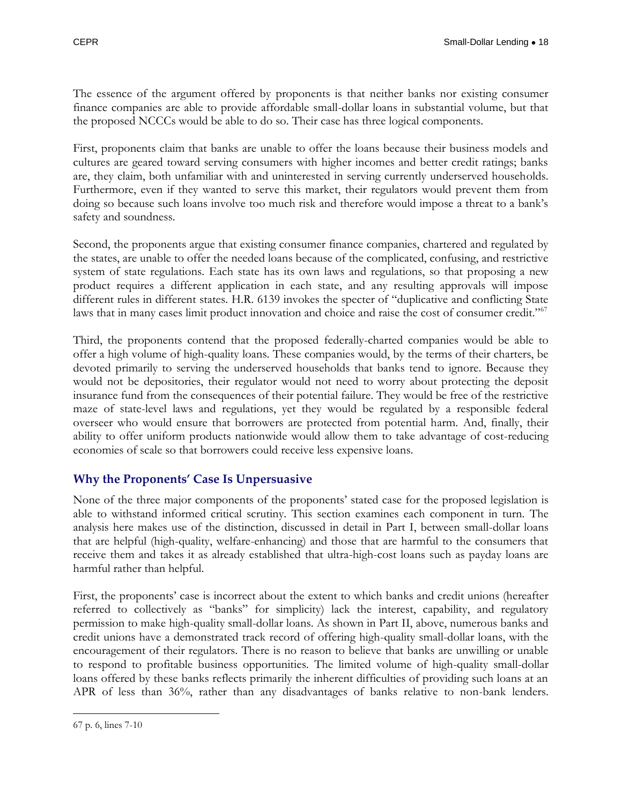The essence of the argument offered by proponents is that neither banks nor existing consumer finance companies are able to provide affordable small-dollar loans in substantial volume, but that the proposed NCCCs would be able to do so. Their case has three logical components.

First, proponents claim that banks are unable to offer the loans because their business models and cultures are geared toward serving consumers with higher incomes and better credit ratings; banks are, they claim, both unfamiliar with and uninterested in serving currently underserved households. Furthermore, even if they wanted to serve this market, their regulators would prevent them from doing so because such loans involve too much risk and therefore would impose a threat to a bank's safety and soundness.

Second, the proponents argue that existing consumer finance companies, chartered and regulated by the states, are unable to offer the needed loans because of the complicated, confusing, and restrictive system of state regulations. Each state has its own laws and regulations, so that proposing a new product requires a different application in each state, and any resulting approvals will impose different rules in different states. H.R. 6139 invokes the specter of "duplicative and conflicting State laws that in many cases limit product innovation and choice and raise the cost of consumer credit."<sup>67</sup>

Third, the proponents contend that the proposed federally-charted companies would be able to offer a high volume of high-quality loans. These companies would, by the terms of their charters, be devoted primarily to serving the underserved households that banks tend to ignore. Because they would not be depositories, their regulator would not need to worry about protecting the deposit insurance fund from the consequences of their potential failure. They would be free of the restrictive maze of state-level laws and regulations, yet they would be regulated by a responsible federal overseer who would ensure that borrowers are protected from potential harm. And, finally, their ability to offer uniform products nationwide would allow them to take advantage of cost-reducing economies of scale so that borrowers could receive less expensive loans.

#### <span id="page-19-0"></span>**Why the Proponents' Case Is Unpersuasive**

None of the three major components of the proponents' stated case for the proposed legislation is able to withstand informed critical scrutiny. This section examines each component in turn. The analysis here makes use of the distinction, discussed in detail in Part I, between small-dollar loans that are helpful (high-quality, welfare-enhancing) and those that are harmful to the consumers that receive them and takes it as already established that ultra-high-cost loans such as payday loans are harmful rather than helpful.

First, the proponents' case is incorrect about the extent to which banks and credit unions (hereafter referred to collectively as "banks" for simplicity) lack the interest, capability, and regulatory permission to make high-quality small-dollar loans. As shown in Part II, above, numerous banks and credit unions have a demonstrated track record of offering high-quality small-dollar loans, with the encouragement of their regulators. There is no reason to believe that banks are unwilling or unable to respond to profitable business opportunities. The limited volume of high-quality small-dollar loans offered by these banks reflects primarily the inherent difficulties of providing such loans at an APR of less than 36%, rather than any disadvantages of banks relative to non-bank lenders.

 $\overline{a}$ 67 p. 6, lines 7-10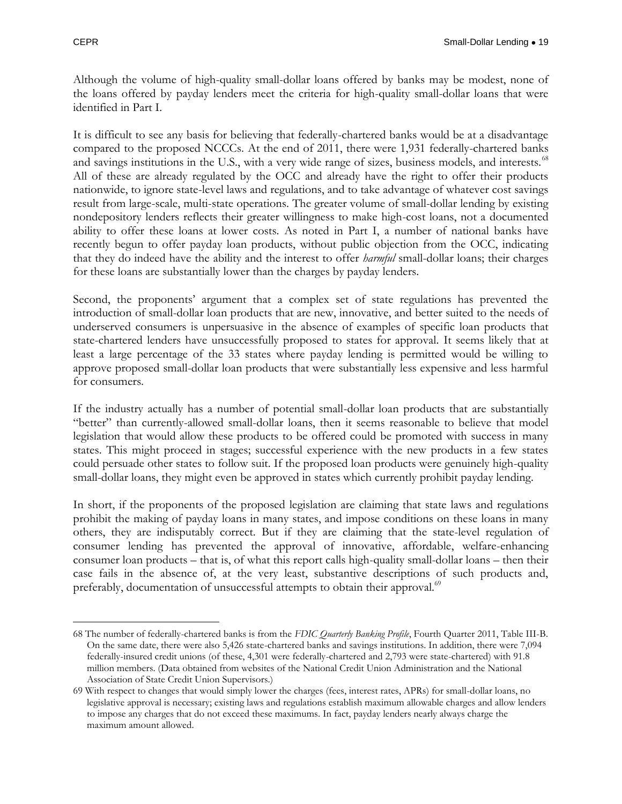Although the volume of high-quality small-dollar loans offered by banks may be modest, none of the loans offered by payday lenders meet the criteria for high-quality small-dollar loans that were identified in Part I.

It is difficult to see any basis for believing that federally-chartered banks would be at a disadvantage compared to the proposed NCCCs. At the end of 2011, there were 1,931 federally-chartered banks and savings institutions in the U.S., with a very wide range of sizes, business models, and interests.<sup>68</sup> All of these are already regulated by the OCC and already have the right to offer their products nationwide, to ignore state-level laws and regulations, and to take advantage of whatever cost savings result from large-scale, multi-state operations. The greater volume of small-dollar lending by existing nondepository lenders reflects their greater willingness to make high-cost loans, not a documented ability to offer these loans at lower costs. As noted in Part I, a number of national banks have recently begun to offer payday loan products, without public objection from the OCC, indicating that they do indeed have the ability and the interest to offer *harmful* small-dollar loans; their charges for these loans are substantially lower than the charges by payday lenders.

Second, the proponents' argument that a complex set of state regulations has prevented the introduction of small-dollar loan products that are new, innovative, and better suited to the needs of underserved consumers is unpersuasive in the absence of examples of specific loan products that state-chartered lenders have unsuccessfully proposed to states for approval. It seems likely that at least a large percentage of the 33 states where payday lending is permitted would be willing to approve proposed small-dollar loan products that were substantially less expensive and less harmful for consumers.

If the industry actually has a number of potential small-dollar loan products that are substantially "better" than currently-allowed small-dollar loans, then it seems reasonable to believe that model legislation that would allow these products to be offered could be promoted with success in many states. This might proceed in stages; successful experience with the new products in a few states could persuade other states to follow suit. If the proposed loan products were genuinely high-quality small-dollar loans, they might even be approved in states which currently prohibit payday lending.

In short, if the proponents of the proposed legislation are claiming that state laws and regulations prohibit the making of payday loans in many states, and impose conditions on these loans in many others, they are indisputably correct. But if they are claiming that the state-level regulation of consumer lending has prevented the approval of innovative, affordable, welfare-enhancing consumer loan products – that is, of what this report calls high-quality small-dollar loans – then their case fails in the absence of, at the very least, substantive descriptions of such products and, preferably, documentation of unsuccessful attempts to obtain their approval.<sup>69</sup>

 $\overline{a}$ 68 The number of federally-chartered banks is from the *FDIC Quarterly Banking Profile*, Fourth Quarter 2011, Table III-B. On the same date, there were also 5,426 state-chartered banks and savings institutions. In addition, there were 7,094 federally-insured credit unions (of these, 4,301 were federally-chartered and 2,793 were state-chartered) with 91.8 million members. (Data obtained from websites of the National Credit Union Administration and the National Association of State Credit Union Supervisors.)

<sup>69</sup> With respect to changes that would simply lower the charges (fees, interest rates, APRs) for small-dollar loans, no legislative approval is necessary; existing laws and regulations establish maximum allowable charges and allow lenders to impose any charges that do not exceed these maximums. In fact, payday lenders nearly always charge the maximum amount allowed.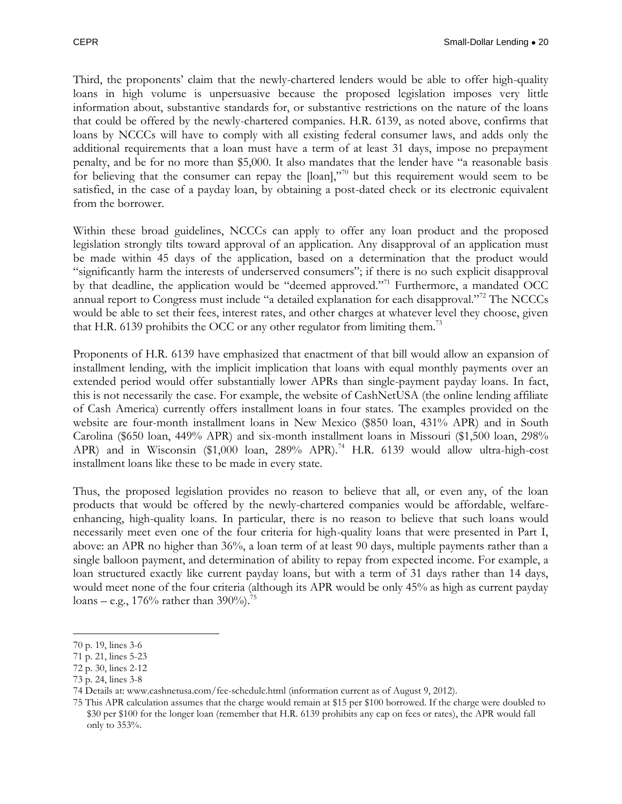Third, the proponents' claim that the newly-chartered lenders would be able to offer high-quality loans in high volume is unpersuasive because the proposed legislation imposes very little information about, substantive standards for, or substantive restrictions on the nature of the loans that could be offered by the newly-chartered companies. H.R. 6139, as noted above, confirms that loans by NCCCs will have to comply with all existing federal consumer laws, and adds only the additional requirements that a loan must have a term of at least 31 days, impose no prepayment penalty, and be for no more than \$5,000. It also mandates that the lender have "a reasonable basis for believing that the consumer can repay the [loan],"<sup>70</sup> but this requirement would seem to be satisfied, in the case of a payday loan, by obtaining a post-dated check or its electronic equivalent from the borrower.

Within these broad guidelines, NCCCs can apply to offer any loan product and the proposed legislation strongly tilts toward approval of an application. Any disapproval of an application must be made within 45 days of the application, based on a determination that the product would "significantly harm the interests of underserved consumers"; if there is no such explicit disapproval by that deadline, the application would be "deemed approved."<sup>71</sup> Furthermore, a mandated OCC annual report to Congress must include "a detailed explanation for each disapproval."<sup>72</sup> The NCCCs would be able to set their fees, interest rates, and other charges at whatever level they choose, given that H.R. 6139 prohibits the OCC or any other regulator from limiting them.<sup>73</sup>

Proponents of H.R. 6139 have emphasized that enactment of that bill would allow an expansion of installment lending, with the implicit implication that loans with equal monthly payments over an extended period would offer substantially lower APRs than single-payment payday loans. In fact, this is not necessarily the case. For example, the website of CashNetUSA (the online lending affiliate of Cash America) currently offers installment loans in four states. The examples provided on the website are four-month installment loans in New Mexico (\$850 loan, 431% APR) and in South Carolina (\$650 loan, 449% APR) and six-month installment loans in Missouri (\$1,500 loan, 298% APR) and in Wisconsin (\$1,000 loan, 289% APR).<sup>74</sup> H.R. 6139 would allow ultra-high-cost installment loans like these to be made in every state.

Thus, the proposed legislation provides no reason to believe that all, or even any, of the loan products that would be offered by the newly-chartered companies would be affordable, welfareenhancing, high-quality loans. In particular, there is no reason to believe that such loans would necessarily meet even one of the four criteria for high-quality loans that were presented in Part I, above: an APR no higher than 36%, a loan term of at least 90 days, multiple payments rather than a single balloon payment, and determination of ability to repay from expected income. For example, a loan structured exactly like current payday loans, but with a term of 31 days rather than 14 days, would meet none of the four criteria (although its APR would be only 45% as high as current payday loans – e.g.,  $176\%$  rather than 390%).<sup>75</sup>

<sup>70</sup> p. 19, lines 3-6

<sup>71</sup> p. 21, lines 5-23

<sup>72</sup> p. 30, lines 2-12

<sup>73</sup> p. 24, lines 3-8

<sup>74</sup> Details at: [www.cashnetusa.com/fee-schedule.html](http://www.cashnetusa.com/fee-schedule.html) (information current as of August 9, 2012).

<sup>75</sup> This APR calculation assumes that the charge would remain at \$15 per \$100 borrowed. If the charge were doubled to \$30 per \$100 for the longer loan (remember that H.R. 6139 prohibits any cap on fees or rates), the APR would fall only to 353%.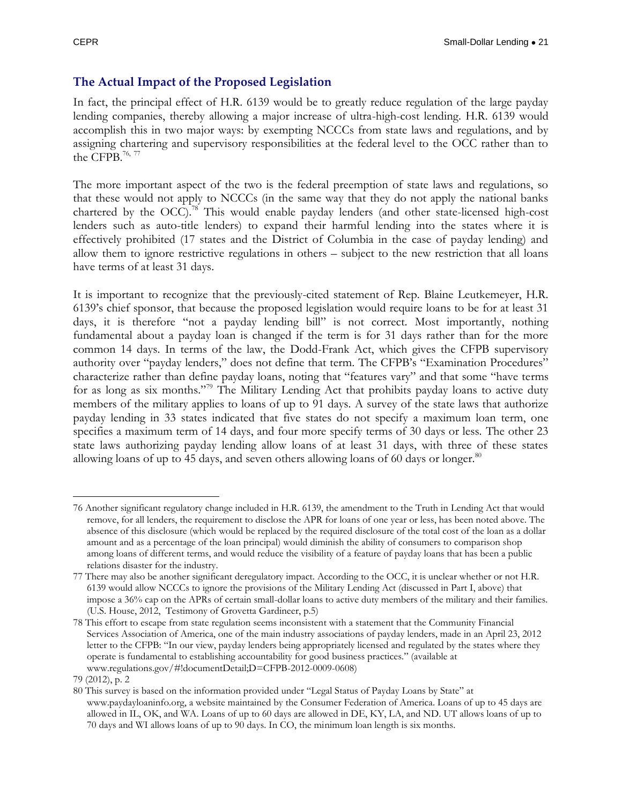#### <span id="page-22-0"></span>**The Actual Impact of the Proposed Legislation**

In fact, the principal effect of H.R. 6139 would be to greatly reduce regulation of the large payday lending companies, thereby allowing a major increase of ultra-high-cost lending. H.R. 6139 would accomplish this in two major ways: by exempting NCCCs from state laws and regulations, and by assigning chartering and supervisory responsibilities at the federal level to the OCC rather than to the CFPB.<sup>76, 77</sup>

The more important aspect of the two is the federal preemption of state laws and regulations, so that these would not apply to NCCCs (in the same way that they do not apply the national banks chartered by the OCC).<sup>78</sup> This would enable payday lenders (and other state-licensed high-cost lenders such as auto-title lenders) to expand their harmful lending into the states where it is effectively prohibited (17 states and the District of Columbia in the case of payday lending) and allow them to ignore restrictive regulations in others – subject to the new restriction that all loans have terms of at least 31 days.

It is important to recognize that the previously-cited statement of Rep. Blaine Leutkemeyer, H.R. 6139's chief sponsor, that because the proposed legislation would require loans to be for at least 31 days, it is therefore "not a payday lending bill" is not correct. Most importantly, nothing fundamental about a payday loan is changed if the term is for 31 days rather than for the more common 14 days. In terms of the law, the Dodd-Frank Act, which gives the CFPB supervisory authority over "payday lenders," does not define that term. The CFPB's "Examination Procedures" characterize rather than define payday loans, noting that "features vary" and that some "have terms for as long as six months."<sup>79</sup> The Military Lending Act that prohibits payday loans to active duty members of the military applies to loans of up to 91 days. A survey of the state laws that authorize payday lending in 33 states indicated that five states do not specify a maximum loan term, one specifies a maximum term of 14 days, and four more specify terms of 30 days or less. The other 23 state laws authorizing payday lending allow loans of at least 31 days, with three of these states allowing loans of up to 45 days, and seven others allowing loans of 60 days or longer. $80$ 

 $\overline{a}$ 76 Another significant regulatory change included in H.R. 6139, the amendment to the Truth in Lending Act that would remove, for all lenders, the requirement to disclose the APR for loans of one year or less, has been noted above. The absence of this disclosure (which would be replaced by the required disclosure of the total cost of the loan as a dollar amount and as a percentage of the loan principal) would diminish the ability of consumers to comparison shop among loans of different terms, and would reduce the visibility of a feature of payday loans that has been a public relations disaster for the industry.

<sup>77</sup> There may also be another significant deregulatory impact. According to the OCC, it is unclear whether or not H.R. 6139 would allow NCCCs to ignore the provisions of the Military Lending Act (discussed in Part I, above) that impose a 36% cap on the APRs of certain small-dollar loans to active duty members of the military and their families. (U.S. House, 2012, Testimony of Grovetta Gardineer, p.5)

<sup>78</sup> This effort to escape from state regulation seems inconsistent with a statement that the Community Financial Services Association of America, one of the main industry associations of payday lenders, made in an April 23, 2012 letter to the CFPB: "In our view, payday lenders being appropriately licensed and regulated by the states where they operate is fundamental to establishing accountability for good business practices." (available at [www.regulations.gov/#!documentDetail;D=CFPB-2012-0009-0608\)](http://www.regulations.gov/#!documentDetail;D=CFPB-2012-0009-0608)

<sup>79</sup> (2012), p. 2

<sup>80</sup> This survey is based on the information provided under "Legal Status of Payday Loans by State" at [www.paydayloaninfo.org,](http://www.paydayloaninfo.org/) a website maintained by the Consumer Federation of America. Loans of up to 45 days are allowed in IL, OK, and WA. Loans of up to 60 days are allowed in DE, KY, LA, and ND. UT allows loans of up to 70 days and WI allows loans of up to 90 days. In CO, the minimum loan length is six months.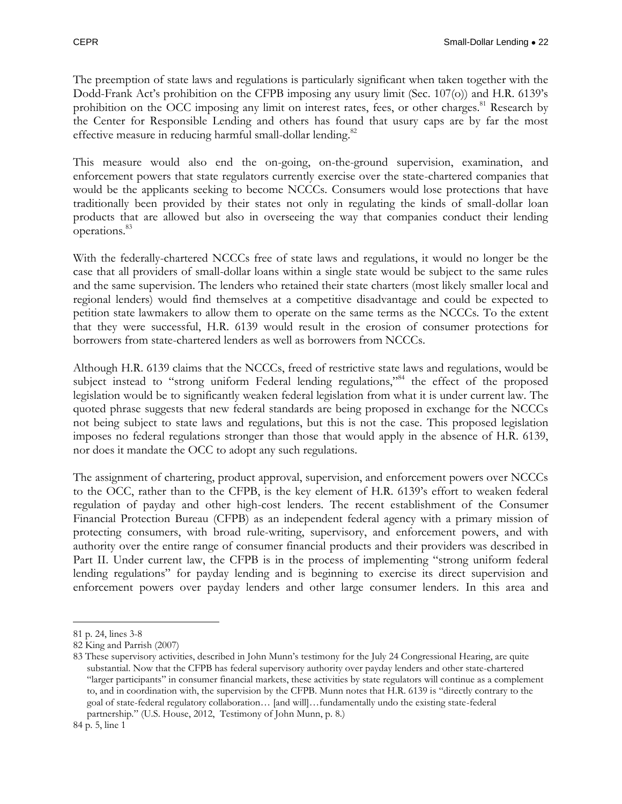The preemption of state laws and regulations is particularly significant when taken together with the Dodd-Frank Act's prohibition on the CFPB imposing any usury limit (Sec. 107(o)) and H.R. 6139's prohibition on the OCC imposing any limit on interest rates, fees, or other charges.<sup>81</sup> Research by the Center for Responsible Lending and others has found that usury caps are by far the most effective measure in reducing harmful small-dollar lending.<sup>82</sup>

This measure would also end the on-going, on-the-ground supervision, examination, and enforcement powers that state regulators currently exercise over the state-chartered companies that would be the applicants seeking to become NCCCs. Consumers would lose protections that have traditionally been provided by their states not only in regulating the kinds of small-dollar loan products that are allowed but also in overseeing the way that companies conduct their lending operations.<sup>83</sup>

With the federally-chartered NCCCs free of state laws and regulations, it would no longer be the case that all providers of small-dollar loans within a single state would be subject to the same rules and the same supervision. The lenders who retained their state charters (most likely smaller local and regional lenders) would find themselves at a competitive disadvantage and could be expected to petition state lawmakers to allow them to operate on the same terms as the NCCCs. To the extent that they were successful, H.R. 6139 would result in the erosion of consumer protections for borrowers from state-chartered lenders as well as borrowers from NCCCs.

Although H.R. 6139 claims that the NCCCs, freed of restrictive state laws and regulations, would be subject instead to "strong uniform Federal lending regulations,"<sup>84</sup> the effect of the proposed legislation would be to significantly weaken federal legislation from what it is under current law. The quoted phrase suggests that new federal standards are being proposed in exchange for the NCCCs not being subject to state laws and regulations, but this is not the case. This proposed legislation imposes no federal regulations stronger than those that would apply in the absence of H.R. 6139, nor does it mandate the OCC to adopt any such regulations.

The assignment of chartering, product approval, supervision, and enforcement powers over NCCCs to the OCC, rather than to the CFPB, is the key element of H.R. 6139's effort to weaken federal regulation of payday and other high-cost lenders. The recent establishment of the Consumer Financial Protection Bureau (CFPB) as an independent federal agency with a primary mission of protecting consumers, with broad rule-writing, supervisory, and enforcement powers, and with authority over the entire range of consumer financial products and their providers was described in Part II. Under current law, the CFPB is in the process of implementing "strong uniform federal lending regulations" for payday lending and is beginning to exercise its direct supervision and enforcement powers over payday lenders and other large consumer lenders. In this area and

<sup>81</sup> p. 24, lines 3-8

<sup>82</sup> King and Parrish (2007)

<sup>83</sup> These supervisory activities, described in John Munn's testimony for the July 24 Congressional Hearing, are quite substantial. Now that the CFPB has federal supervisory authority over payday lenders and other state-chartered "larger participants" in consumer financial markets, these activities by state regulators will continue as a complement to, and in coordination with, the supervision by the CFPB. Munn notes that H.R. 6139 is "directly contrary to the goal of state-federal regulatory collaboration… [and will]…fundamentally undo the existing state-federal partnership." (U.S. House, 2012, Testimony of John Munn, p. 8.)

<sup>84</sup> p. 5, line 1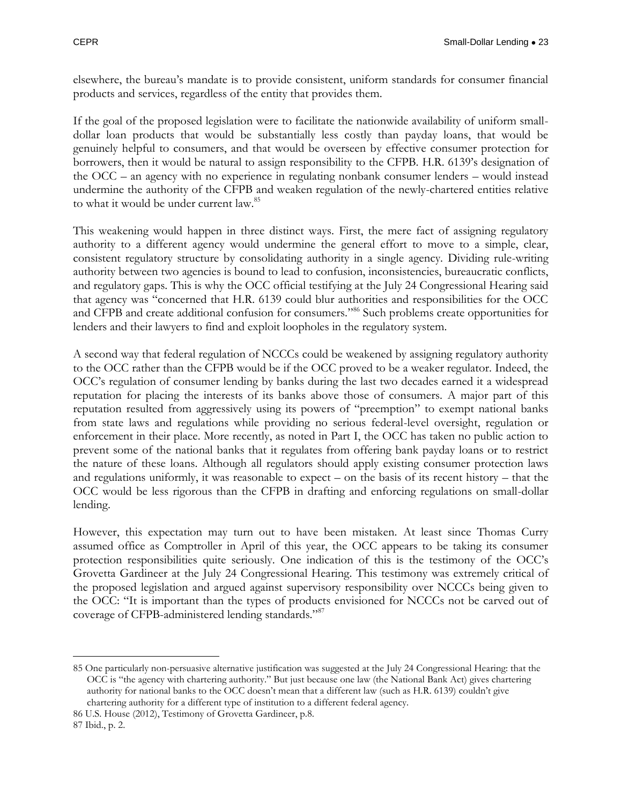elsewhere, the bureau's mandate is to provide consistent, uniform standards for consumer financial products and services, regardless of the entity that provides them.

If the goal of the proposed legislation were to facilitate the nationwide availability of uniform smalldollar loan products that would be substantially less costly than payday loans, that would be genuinely helpful to consumers, and that would be overseen by effective consumer protection for borrowers, then it would be natural to assign responsibility to the CFPB. H.R. 6139's designation of the OCC – an agency with no experience in regulating nonbank consumer lenders – would instead undermine the authority of the CFPB and weaken regulation of the newly-chartered entities relative to what it would be under current law.<sup>85</sup>

This weakening would happen in three distinct ways. First, the mere fact of assigning regulatory authority to a different agency would undermine the general effort to move to a simple, clear, consistent regulatory structure by consolidating authority in a single agency. Dividing rule-writing authority between two agencies is bound to lead to confusion, inconsistencies, bureaucratic conflicts, and regulatory gaps. This is why the OCC official testifying at the July 24 Congressional Hearing said that agency was "concerned that H.R. 6139 could blur authorities and responsibilities for the OCC and CFPB and create additional confusion for consumers."<sup>86</sup> Such problems create opportunities for lenders and their lawyers to find and exploit loopholes in the regulatory system.

A second way that federal regulation of NCCCs could be weakened by assigning regulatory authority to the OCC rather than the CFPB would be if the OCC proved to be a weaker regulator. Indeed, the OCC's regulation of consumer lending by banks during the last two decades earned it a widespread reputation for placing the interests of its banks above those of consumers. A major part of this reputation resulted from aggressively using its powers of "preemption" to exempt national banks from state laws and regulations while providing no serious federal-level oversight, regulation or enforcement in their place. More recently, as noted in Part I, the OCC has taken no public action to prevent some of the national banks that it regulates from offering bank payday loans or to restrict the nature of these loans. Although all regulators should apply existing consumer protection laws and regulations uniformly, it was reasonable to expect – on the basis of its recent history – that the OCC would be less rigorous than the CFPB in drafting and enforcing regulations on small-dollar lending.

However, this expectation may turn out to have been mistaken. At least since Thomas Curry assumed office as Comptroller in April of this year, the OCC appears to be taking its consumer protection responsibilities quite seriously. One indication of this is the testimony of the OCC's Grovetta Gardineer at the July 24 Congressional Hearing. This testimony was extremely critical of the proposed legislation and argued against supervisory responsibility over NCCCs being given to the OCC: "It is important than the types of products envisioned for NCCCs not be carved out of coverage of CFPB-administered lending standards."<sup>87</sup>

<sup>85</sup> One particularly non-persuasive alternative justification was suggested at the July 24 Congressional Hearing: that the OCC is "the agency with chartering authority." But just because one law (the National Bank Act) gives chartering authority for national banks to the OCC doesn't mean that a different law (such as H.R. 6139) couldn't give chartering authority for a different type of institution to a different federal agency.

<sup>86</sup> U.S. House (2012), Testimony of Grovetta Gardineer, p.8.

<sup>87</sup> Ibid., p. 2.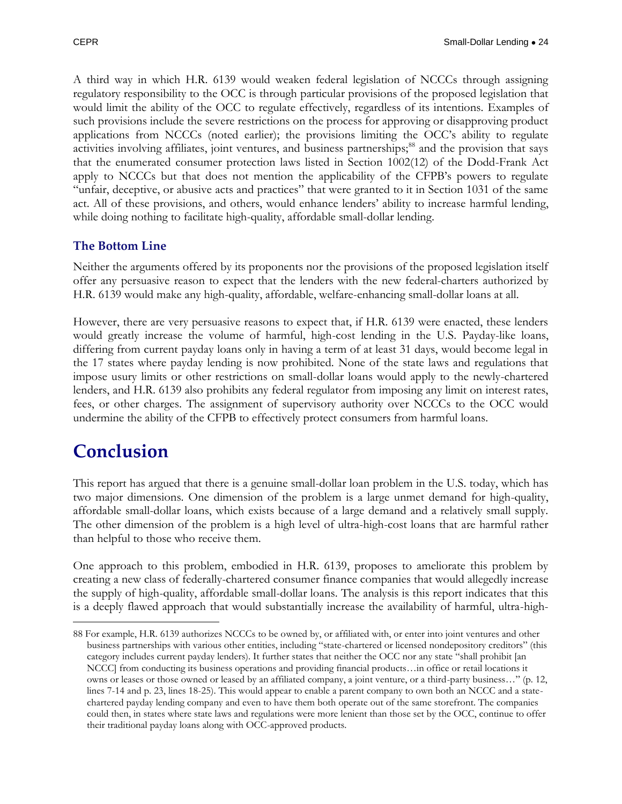A third way in which H.R. 6139 would weaken federal legislation of NCCCs through assigning regulatory responsibility to the OCC is through particular provisions of the proposed legislation that would limit the ability of the OCC to regulate effectively, regardless of its intentions. Examples of such provisions include the severe restrictions on the process for approving or disapproving product applications from NCCCs (noted earlier); the provisions limiting the OCC's ability to regulate activities involving affiliates, joint ventures, and business partnerships;<sup>88</sup> and the provision that says that the enumerated consumer protection laws listed in Section 1002(12) of the Dodd-Frank Act apply to NCCCs but that does not mention the applicability of the CFPB's powers to regulate "unfair, deceptive, or abusive acts and practices" that were granted to it in Section 1031 of the same act. All of these provisions, and others, would enhance lenders' ability to increase harmful lending, while doing nothing to facilitate high-quality, affordable small-dollar lending.

#### <span id="page-25-0"></span>**The Bottom Line**

Neither the arguments offered by its proponents nor the provisions of the proposed legislation itself offer any persuasive reason to expect that the lenders with the new federal-charters authorized by H.R. 6139 would make any high-quality, affordable, welfare-enhancing small-dollar loans at all.

However, there are very persuasive reasons to expect that, if H.R. 6139 were enacted, these lenders would greatly increase the volume of harmful, high-cost lending in the U.S. Payday-like loans, differing from current payday loans only in having a term of at least 31 days, would become legal in the 17 states where payday lending is now prohibited. None of the state laws and regulations that impose usury limits or other restrictions on small-dollar loans would apply to the newly-chartered lenders, and H.R. 6139 also prohibits any federal regulator from imposing any limit on interest rates, fees, or other charges. The assignment of supervisory authority over NCCCs to the OCC would undermine the ability of the CFPB to effectively protect consumers from harmful loans.

### <span id="page-25-1"></span>**Conclusion**

 $\overline{a}$ 

This report has argued that there is a genuine small-dollar loan problem in the U.S. today, which has two major dimensions. One dimension of the problem is a large unmet demand for high-quality, affordable small-dollar loans, which exists because of a large demand and a relatively small supply. The other dimension of the problem is a high level of ultra-high-cost loans that are harmful rather than helpful to those who receive them.

One approach to this problem, embodied in H.R. 6139, proposes to ameliorate this problem by creating a new class of federally-chartered consumer finance companies that would allegedly increase the supply of high-quality, affordable small-dollar loans. The analysis is this report indicates that this is a deeply flawed approach that would substantially increase the availability of harmful, ultra-high-

<sup>88</sup> For example, H.R. 6139 authorizes NCCCs to be owned by, or affiliated with, or enter into joint ventures and other business partnerships with various other entities, including "state-chartered or licensed nondepository creditors" (this category includes current payday lenders). It further states that neither the OCC nor any state "shall prohibit [an NCCC] from conducting its business operations and providing financial products…in office or retail locations it owns or leases or those owned or leased by an affiliated company, a joint venture, or a third-party business…" (p. 12, lines 7-14 and p. 23, lines 18-25). This would appear to enable a parent company to own both an NCCC and a statechartered payday lending company and even to have them both operate out of the same storefront. The companies could then, in states where state laws and regulations were more lenient than those set by the OCC, continue to offer their traditional payday loans along with OCC-approved products.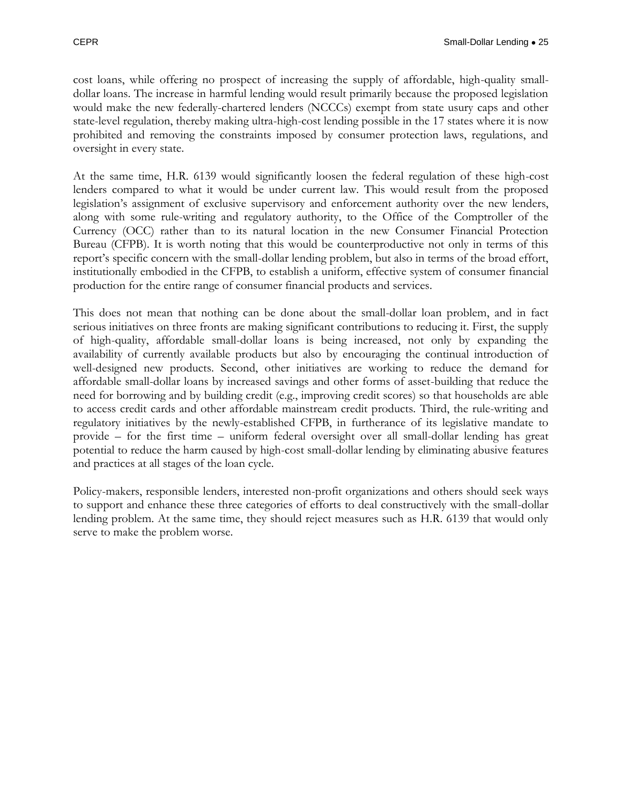cost loans, while offering no prospect of increasing the supply of affordable, high-quality smalldollar loans. The increase in harmful lending would result primarily because the proposed legislation would make the new federally-chartered lenders (NCCCs) exempt from state usury caps and other state-level regulation, thereby making ultra-high-cost lending possible in the 17 states where it is now prohibited and removing the constraints imposed by consumer protection laws, regulations, and oversight in every state.

At the same time, H.R. 6139 would significantly loosen the federal regulation of these high-cost lenders compared to what it would be under current law. This would result from the proposed legislation's assignment of exclusive supervisory and enforcement authority over the new lenders, along with some rule-writing and regulatory authority, to the Office of the Comptroller of the Currency (OCC) rather than to its natural location in the new Consumer Financial Protection Bureau (CFPB). It is worth noting that this would be counterproductive not only in terms of this report's specific concern with the small-dollar lending problem, but also in terms of the broad effort, institutionally embodied in the CFPB, to establish a uniform, effective system of consumer financial production for the entire range of consumer financial products and services.

This does not mean that nothing can be done about the small-dollar loan problem, and in fact serious initiatives on three fronts are making significant contributions to reducing it. First, the supply of high-quality, affordable small-dollar loans is being increased, not only by expanding the availability of currently available products but also by encouraging the continual introduction of well-designed new products. Second, other initiatives are working to reduce the demand for affordable small-dollar loans by increased savings and other forms of asset-building that reduce the need for borrowing and by building credit (e.g., improving credit scores) so that households are able to access credit cards and other affordable mainstream credit products. Third, the rule-writing and regulatory initiatives by the newly-established CFPB, in furtherance of its legislative mandate to provide – for the first time – uniform federal oversight over all small-dollar lending has great potential to reduce the harm caused by high-cost small-dollar lending by eliminating abusive features and practices at all stages of the loan cycle.

Policy-makers, responsible lenders, interested non-profit organizations and others should seek ways to support and enhance these three categories of efforts to deal constructively with the small-dollar lending problem. At the same time, they should reject measures such as H.R. 6139 that would only serve to make the problem worse.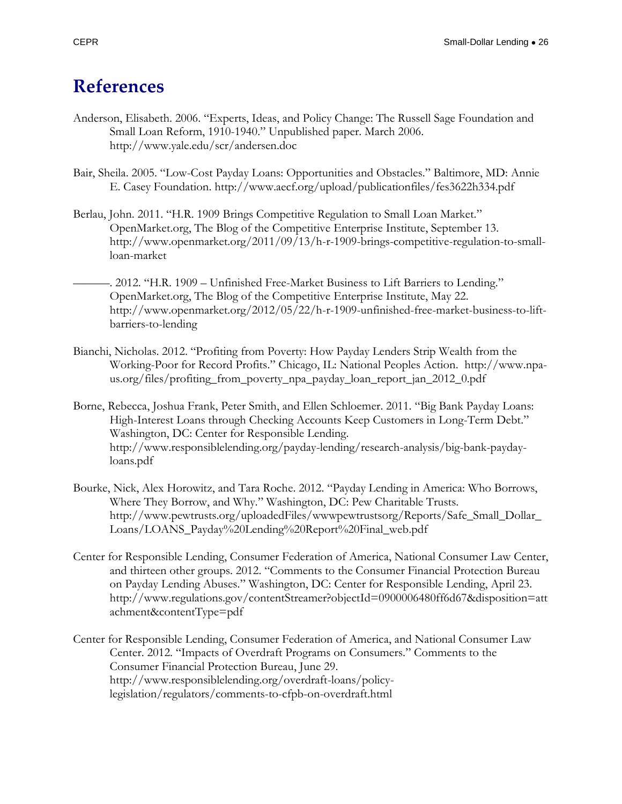### <span id="page-27-0"></span>**References**

- Anderson, Elisabeth. 2006. "Experts, Ideas, and Policy Change: The Russell Sage Foundation and Small Loan Reform, 1910-1940." Unpublished paper. March 2006. <http://www.yale.edu/scr/andersen.doc>
- Bair, Sheila. 2005. "Low-Cost Payday Loans: Opportunities and Obstacles." Baltimore, MD: Annie E. Casey Foundation. http://www.aecf.org/upload/publicationfiles/fes3622h334.pdf
- Berlau, John. 2011. "H.R. 1909 Brings Competitive Regulation to Small Loan Market." OpenMarket.org, The Blog of the Competitive Enterprise Institute, September 13. [http://www.openmarket.org/2011/09/13/h-r-1909-brings-competitive-regulation-to-small](http://www.openmarket.org/2011/09/13/h-r-1909-brings-competitive-regulation-to-small-loan-market)[loan-market](http://www.openmarket.org/2011/09/13/h-r-1909-brings-competitive-regulation-to-small-loan-market)
- ———. 2012. "H.R. 1909 Unfinished Free-Market Business to Lift Barriers to Lending." OpenMarket.org, The Blog of the Competitive Enterprise Institute, May 22. [http://www.openmarket.org/2012/05/22/h-r-1909-unfinished-free-market-business-to-lift](http://www.openmarket.org/2012/05/22/h-r-1909-unfinished-free-market-business-to-lift-barriers-to-lending)[barriers-to-lending](http://www.openmarket.org/2012/05/22/h-r-1909-unfinished-free-market-business-to-lift-barriers-to-lending)
- Bianchi, Nicholas. 2012. "Profiting from Poverty: How Payday Lenders Strip Wealth from the Working-Poor for Record Profits." Chicago, IL: National Peoples Action. [http://www.npa](http://www.npa-us.org/files/profiting_from_poverty_npa_payday_loan_report_jan_2012_0.pdf)[us.org/files/profiting\\_from\\_poverty\\_npa\\_payday\\_loan\\_report\\_jan\\_2012\\_0.pdf](http://www.npa-us.org/files/profiting_from_poverty_npa_payday_loan_report_jan_2012_0.pdf)
- Borne, Rebecca, Joshua Frank, Peter Smith, and Ellen Schloemer. 2011. "Big Bank Payday Loans: High-Interest Loans through Checking Accounts Keep Customers in Long-Term Debt." Washington, DC: Center for Responsible Lending. http://www.responsiblelending.org/payday-lending/research-analysis/big-bank-paydayloans.pdf
- Bourke, Nick, Alex Horowitz, and Tara Roche. 2012. "Payday Lending in America: Who Borrows, Where They Borrow, and Why*.*" Washington, DC: Pew Charitable Trusts. http://www.pewtrusts.org/uploadedFiles/wwwpewtrustsorg/Reports/Safe\_Small\_Dollar\_ Loans/LOANS\_Payday%20Lending%20Report%20Final\_web.pdf
- Center for Responsible Lending, Consumer Federation of America, National Consumer Law Center, and thirteen other groups. 2012. "Comments to the Consumer Financial Protection Bureau on Payday Lending Abuses." Washington, DC: Center for Responsible Lending, April 23. [http://www.regulations.gov/contentStreamer?objectId=0900006480ff6d67&disposition=att](http://www.regulations.gov/contentStreamer?objectId=0900006480ff6d67&disposition=attachment&contentType=pdf) [achment&contentType=pdf](http://www.regulations.gov/contentStreamer?objectId=0900006480ff6d67&disposition=attachment&contentType=pdf)
- Center for Responsible Lending, Consumer Federation of America, and National Consumer Law Center. 2012. "Impacts of Overdraft Programs on Consumers." Comments to the Consumer Financial Protection Bureau, June 29. [http://www.responsiblelending.org/overdraft-loans/policy](http://www.responsiblelending.org/overdraft-loans/policy-legislation/regulators/comments-to-cfpb-on-overdraft.html)[legislation/regulators/comments-to-cfpb-on-overdraft.html](http://www.responsiblelending.org/overdraft-loans/policy-legislation/regulators/comments-to-cfpb-on-overdraft.html)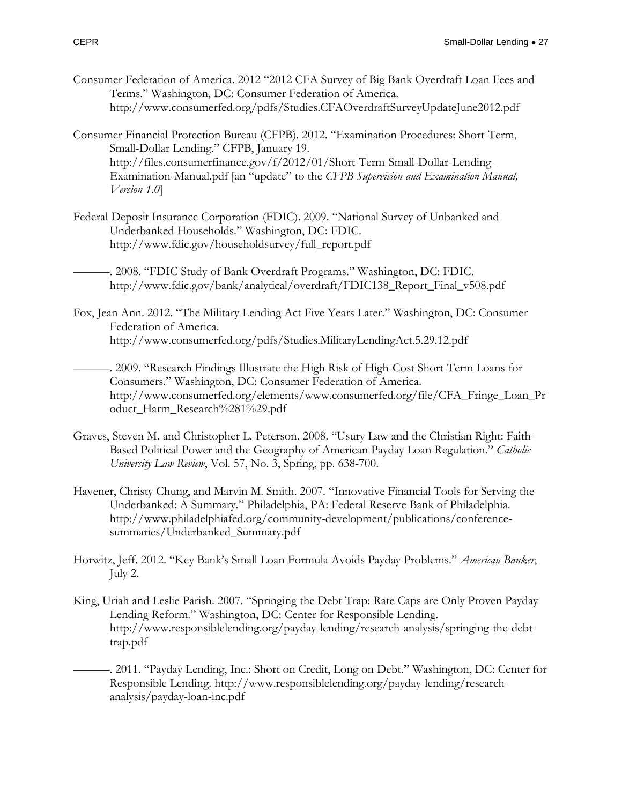- Consumer Federation of America. 2012 "2012 CFA Survey of Big Bank Overdraft Loan Fees and Terms." Washington, DC: Consumer Federation of America. http://www.consumerfed.org/pdfs/Studies.CFAOverdraftSurveyUpdateJune2012.pdf
- Consumer Financial Protection Bureau (CFPB). 2012. "Examination Procedures: Short-Term, Small-Dollar Lending." CFPB, January 19. http://files.consumerfinance.gov/f/2012/01/Short-Term-Small-Dollar-Lending-Examination-Manual.pdf [an "update" to the *CFPB Supervision and Examination Manual, Version 1.0*]
- Federal Deposit Insurance Corporation (FDIC). 2009. "National Survey of Unbanked and Underbanked Households." Washington, DC: FDIC. http://www.fdic.gov/householdsurvey/full\_report.pdf
	- ———. 2008. "FDIC Study of Bank Overdraft Programs." Washington, DC: FDIC. http://www.fdic.gov/bank/analytical/overdraft/FDIC138\_Report\_Final\_v508.pdf
- Fox, Jean Ann. 2012. "The Military Lending Act Five Years Later." Washington, DC: Consumer Federation of America. http://www.consumerfed.org/pdfs/Studies.MilitaryLendingAct.5.29.12.pdf
- ———. 2009. "Research Findings Illustrate the High Risk of High-Cost Short-Term Loans for Consumers." Washington, DC: Consumer Federation of America. http://www.consumerfed.org/elements/www.consumerfed.org/file/CFA\_Fringe\_Loan\_Pr oduct Harm Research%281%29.pdf
- Graves, Steven M. and Christopher L. Peterson. 2008. "Usury Law and the Christian Right: Faith-Based Political Power and the Geography of American Payday Loan Regulation." *Catholic University Law Review*, Vol. 57, No. 3, Spring, pp. 638-700.
- Havener, Christy Chung, and Marvin M. Smith. 2007. "Innovative Financial Tools for Serving the Underbanked: A Summary." Philadelphia, PA: Federal Reserve Bank of Philadelphia. http://www.philadelphiafed.org/community-development/publications/conferencesummaries/Underbanked\_Summary.pdf
- Horwitz, Jeff. 2012. "Key Bank's Small Loan Formula Avoids Payday Problems." *American Banker*, July 2.
- King, Uriah and Leslie Parish. 2007. "Springing the Debt Trap: Rate Caps are Only Proven Payday Lending Reform." Washington, DC: Center for Responsible Lending. http://www.responsiblelending.org/payday-lending/research-analysis/springing-the-debttrap.pdf
- ———. 2011. "Payday Lending, Inc.: Short on Credit, Long on Debt." Washington, DC: Center for Responsible Lending. http://www.responsiblelending.org/payday-lending/researchanalysis/payday-loan-inc.pdf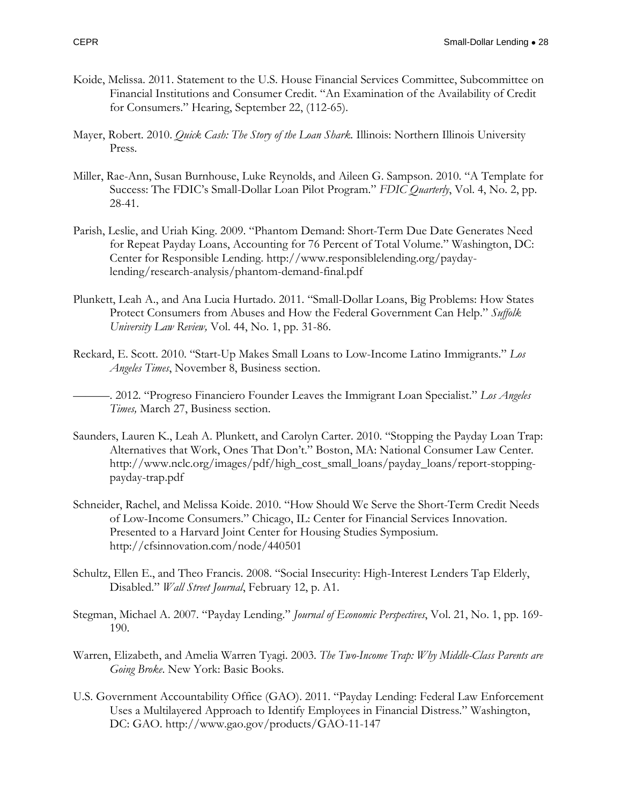- Koide, Melissa. 2011. Statement to the U.S. House Financial Services Committee, Subcommittee on Financial Institutions and Consumer Credit. "An Examination of the Availability of Credit for Consumers." Hearing, September 22, (112-65).
- Mayer, Robert. 2010. *Quick Cash: The Story of the Loan Shark.* Illinois: Northern Illinois University Press.
- Miller, Rae-Ann, Susan Burnhouse, Luke Reynolds, and Aileen G. Sampson. 2010. "A Template for Success: The FDIC's Small-Dollar Loan Pilot Program." *FDIC Quarterly*, Vol. 4, No. 2, pp. 28-41.
- Parish, Leslie, and Uriah King. 2009. "Phantom Demand: Short-Term Due Date Generates Need for Repeat Payday Loans, Accounting for 76 Percent of Total Volume." Washington, DC: Center for Responsible Lending. http://www.responsiblelending.org/paydaylending/research-analysis/phantom-demand-final.pdf
- Plunkett, Leah A., and Ana Lucia Hurtado. 2011. "Small-Dollar Loans, Big Problems: How States Protect Consumers from Abuses and How the Federal Government Can Help." *Suffolk University Law Review,* Vol. 44, No. 1, pp. 31-86.
- Reckard, E. Scott. 2010. "Start-Up Makes Small Loans to Low-Income Latino Immigrants." *Los Angeles Times*, November 8, Business section.

———. 2012. "Progreso Financiero Founder Leaves the Immigrant Loan Specialist." *Los Angeles Times,* March 27, Business section.

- Saunders, Lauren K., Leah A. Plunkett, and Carolyn Carter. 2010. "Stopping the Payday Loan Trap: Alternatives that Work, Ones That Don't." Boston, MA: National Consumer Law Center. http://www.nclc.org/images/pdf/high\_cost\_small\_loans/payday\_loans/report-stoppingpayday-trap.pdf
- Schneider, Rachel, and Melissa Koide. 2010. "How Should We Serve the Short-Term Credit Needs of Low-Income Consumers." Chicago, IL: Center for Financial Services Innovation. Presented to a Harvard Joint Center for Housing Studies Symposium. <http://cfsinnovation.com/node/440501>
- Schultz, Ellen E., and Theo Francis. 2008. "Social Insecurity: High-Interest Lenders Tap Elderly, Disabled." *Wall Street Journal*, February 12, p. A1.
- Stegman, Michael A. 2007. "Payday Lending." *Journal of Economic Perspectives*, Vol. 21, No. 1, pp. 169- 190.
- Warren, Elizabeth, and Amelia Warren Tyagi. 2003. *The Two-Income Trap: Why Middle-Class Parents are Going Broke*. New York: Basic Books.
- U.S. Government Accountability Office (GAO). 2011. "Payday Lending: Federal Law Enforcement Uses a Multilayered Approach to Identify Employees in Financial Distress." Washington, DC: GAO. <http://www.gao.gov/products/GAO-11-147>